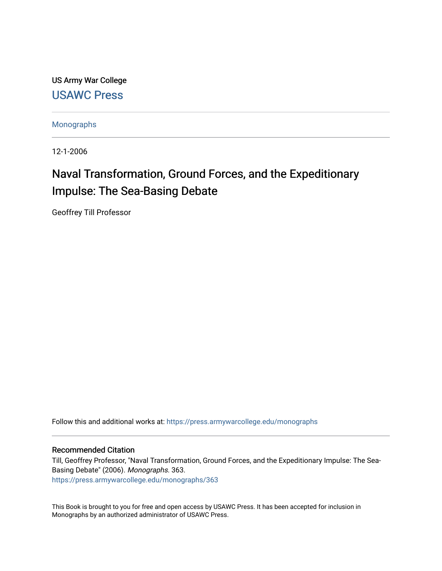US Army War College [USAWC Press](https://press.armywarcollege.edu/) 

[Monographs](https://press.armywarcollege.edu/monographs) 

12-1-2006

# Naval Transformation, Ground Forces, and the Expeditionary Impulse: The Sea-Basing Debate

Geoffrey Till Professor

Follow this and additional works at: [https://press.armywarcollege.edu/monographs](https://press.armywarcollege.edu/monographs?utm_source=press.armywarcollege.edu%2Fmonographs%2F363&utm_medium=PDF&utm_campaign=PDFCoverPages)

#### Recommended Citation

Till, Geoffrey Professor, "Naval Transformation, Ground Forces, and the Expeditionary Impulse: The Sea-Basing Debate" (2006). Monographs. 363. [https://press.armywarcollege.edu/monographs/363](https://press.armywarcollege.edu/monographs/363?utm_source=press.armywarcollege.edu%2Fmonographs%2F363&utm_medium=PDF&utm_campaign=PDFCoverPages)

This Book is brought to you for free and open access by USAWC Press. It has been accepted for inclusion in Monographs by an authorized administrator of USAWC Press.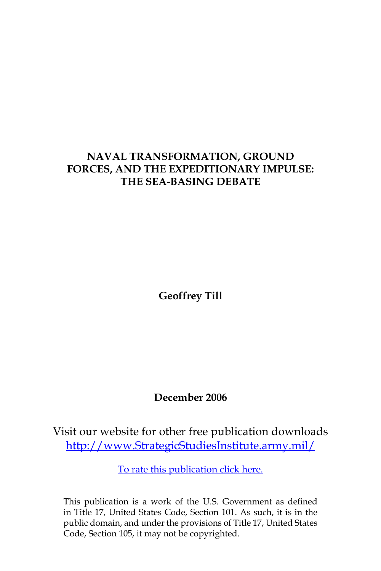# **NAVAL TRANSFORMATION, GROUND FORCES, AND THE EXPEDITIONARY IMPULSE: THE SEA-BASING DEBATE**

**Geoffrey Till**

# **December 2006**

Visit our website for other free publication downloads [http://www.StrategicStudiesInstitute.army.mil/](http://www.StrategicStudiesInstitute.army.mil)

[To rate this publication click here.](http://www.strategicstudiesinstitute.army.mil/pubs/display.cfm?pubID=743)

This publication is a work of the U.S. Government as defined in Title 17, United States Code, Section 101. As such, it is in the public domain, and under the provisions of Title 17, United States Code, Section 105, it may not be copyrighted.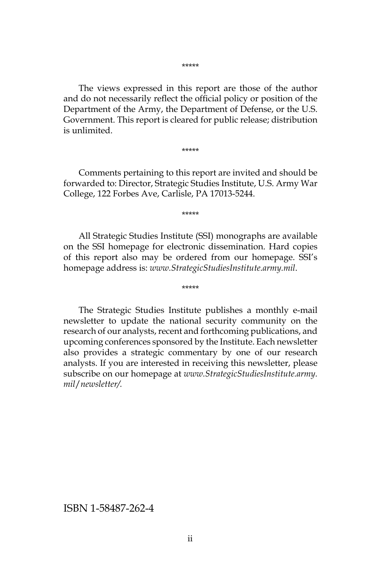\*\*\*\*\*

The views expressed in this report are those of the author and do not necessarily reflect the official policy or position of the Department of the Army, the Department of Defense, or the U.S. Government. This report is cleared for public release; distribution is unlimited.

\*\*\*\*\*

Comments pertaining to this report are invited and should be forwarded to: Director, Strategic Studies Institute, U.S. Army War College, 122 Forbes Ave, Carlisle, PA 17013-5244.

\*\*\*\*\*

All Strategic Studies Institute (SSI) monographs are available on the SSI homepage for electronic dissemination. Hard copies of this report also may be ordered from our homepage. SSI's homepage address is: *www.StrategicStudiesInstitute.army.mil*.

\*\*\*\*\*

The Strategic Studies Institute publishes a monthly e-mail newsletter to update the national security community on the research of our analysts, recent and forthcoming publications, and upcoming conferences sponsored by the Institute. Each newsletter also provides a strategic commentary by one of our research analysts. If you are interested in receiving this newsletter, please subscribe on our homepage at *www.StrategicStudiesInstitute.army. mil*/*newsletter/.*

ISBN 1-58487-262-4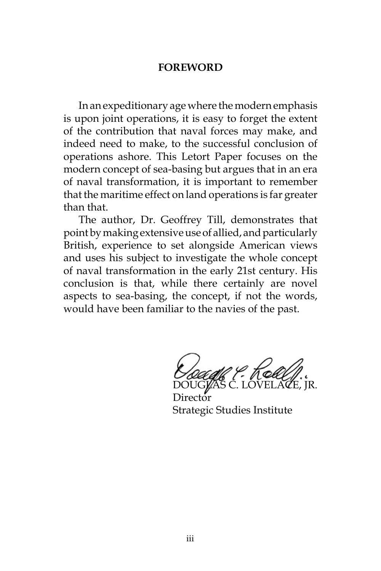#### **FOREWORD**

In an expeditionary age where the modern emphasis is upon joint operations, it is easy to forget the extent of the contribution that naval forces may make, and indeed need to make, to the successful conclusion of operations ashore. This Letort Paper focuses on the modern concept of sea-basing but argues that in an era of naval transformation, it is important to remember that the maritime effect on land operations is far greater than that.

The author, Dr. Geoffrey Till, demonstrates that point by making extensive use of allied, and particularly British, experience to set alongside American views and uses his subject to investigate the whole concept of naval transformation in the early 21st century. His conclusion is that, while there certainly are novel aspects to sea-basing, the concept, if not the words, would have been familiar to the navies of the past.

DOUGLAS C. LOVELACE, JR.

Director Strategic Studies Institute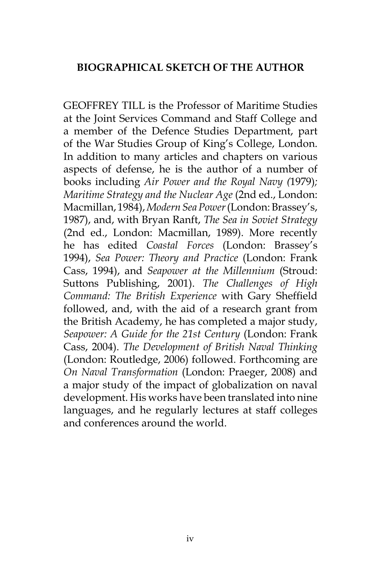### **BIOGRAPHICAL SKETCH OF THE AUTHOR**

GEOFFREY TILL is the Professor of Maritime Studies at the Joint Services Command and Staff College and a member of the Defence Studies Department, part of the War Studies Group of King's College, London. In addition to many articles and chapters on various aspects of defense, he is the author of a number of books including *Air Power and the Royal Navy (*1979)*; Maritime Strategy and the Nuclear Age* (2nd ed., London: Macmillan, 1984), *Modern Sea Power* (London: Brassey's, 1987), and, with Bryan Ranft, *The Sea in Soviet Strategy* (2nd ed., London: Macmillan, 1989). More recently he has edited *Coastal Forces* (London: Brassey's 1994), *Sea Power: Theory and Practice* (London: Frank Cass, 1994), and *Seapower at the Millennium* (Stroud: Suttons Publishing, 2001). *The Challenges of High Command: The British Experience* with Gary Sheffield followed, and, with the aid of a research grant from the British Academy, he has completed a major study, *Seapower: A Guide for the 21st Century* (London: Frank Cass, 2004). *The Development of British Naval Thinking* (London: Routledge, 2006) followed. Forthcoming are *On Naval Transformation* (London: Praeger, 2008) and a major study of the impact of globalization on naval development. His works have been translated into nine languages, and he regularly lectures at staff colleges and conferences around the world.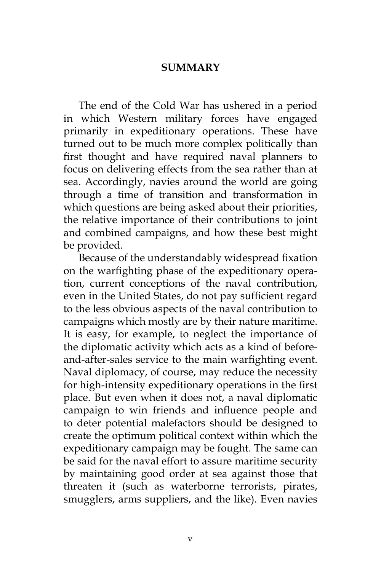#### **SUMMARY**

The end of the Cold War has ushered in a period in which Western military forces have engaged primarily in expeditionary operations. These have turned out to be much more complex politically than first thought and have required naval planners to focus on delivering effects from the sea rather than at sea. Accordingly, navies around the world are going through a time of transition and transformation in which questions are being asked about their priorities, the relative importance of their contributions to joint and combined campaigns, and how these best might be provided.

Because of the understandably widespread fixation on the warfighting phase of the expeditionary operation, current conceptions of the naval contribution, even in the United States, do not pay sufficient regard to the less obvious aspects of the naval contribution to campaigns which mostly are by their nature maritime. It is easy, for example, to neglect the importance of the diplomatic activity which acts as a kind of beforeand-after-sales service to the main warfighting event. Naval diplomacy, of course, may reduce the necessity for high-intensity expeditionary operations in the first place. But even when it does not, a naval diplomatic campaign to win friends and influence people and to deter potential malefactors should be designed to create the optimum political context within which the expeditionary campaign may be fought. The same can be said for the naval effort to assure maritime security by maintaining good order at sea against those that threaten it (such as waterborne terrorists, pirates, smugglers, arms suppliers, and the like). Even navies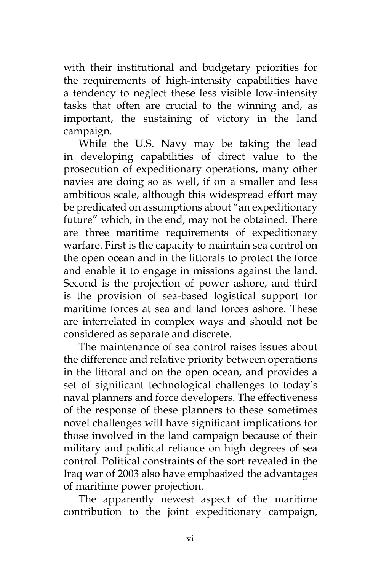with their institutional and budgetary priorities for the requirements of high-intensity capabilities have a tendency to neglect these less visible low-intensity tasks that often are crucial to the winning and, as important, the sustaining of victory in the land campaign.

While the U.S. Navy may be taking the lead in developing capabilities of direct value to the prosecution of expeditionary operations, many other navies are doing so as well, if on a smaller and less ambitious scale, although this widespread effort may be predicated on assumptions about "an expeditionary future" which, in the end, may not be obtained. There are three maritime requirements of expeditionary warfare. First is the capacity to maintain sea control on the open ocean and in the littorals to protect the force and enable it to engage in missions against the land. Second is the projection of power ashore, and third is the provision of sea-based logistical support for maritime forces at sea and land forces ashore. These are interrelated in complex ways and should not be considered as separate and discrete.

The maintenance of sea control raises issues about the difference and relative priority between operations in the littoral and on the open ocean, and provides a set of significant technological challenges to today's naval planners and force developers. The effectiveness of the response of these planners to these sometimes novel challenges will have significant implications for those involved in the land campaign because of their military and political reliance on high degrees of sea control. Political constraints of the sort revealed in the Iraq war of 2003 also have emphasized the advantages of maritime power projection.

The apparently newest aspect of the maritime contribution to the joint expeditionary campaign,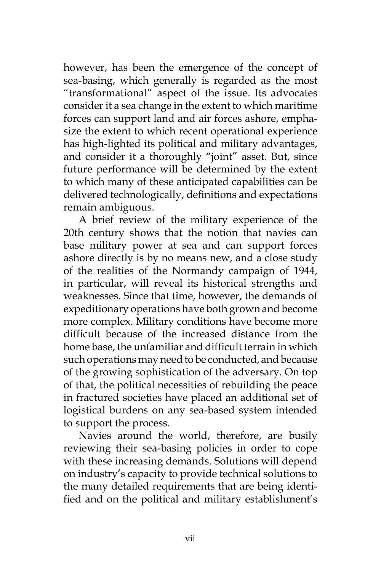however, has been the emergence of the concept of sea-basing, which generally is regarded as the most "transformational" aspect of the issue. Its advocates consider it a sea change in the extent to which maritime forces can support land and air forces ashore, emphasize the extent to which recent operational experience has high-lighted its political and military advantages, and consider it a thoroughly "joint" asset. But, since future performance will be determined by the extent to which many of these anticipated capabilities can be delivered technologically, definitions and expectations remain ambiguous.

A brief review of the military experience of the 20th century shows that the notion that navies can base military power at sea and can support forces ashore directly is by no means new, and a close study of the realities of the Normandy campaign of 1944, in particular, will reveal its historical strengths and weaknesses. Since that time, however, the demands of expeditionary operations have both grown and become more complex. Military conditions have become more difficult because of the increased distance from the home base, the unfamiliar and difficult terrain in which such operations may need to be conducted, and because of the growing sophistication of the adversary. On top of that, the political necessities of rebuilding the peace in fractured societies have placed an additional set of logistical burdens on any sea-based system intended to support the process.

Navies around the world, therefore, are busily reviewing their sea-basing policies in order to cope with these increasing demands. Solutions will depend on industry's capacity to provide technical solutions to the many detailed requirements that are being identified and on the political and military establishment's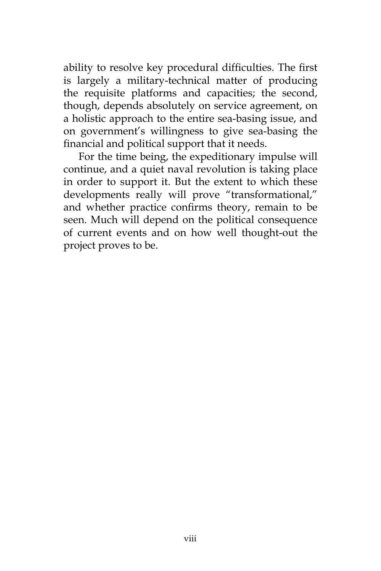ability to resolve key procedural difficulties. The first is largely a military-technical matter of producing the requisite platforms and capacities; the second, though, depends absolutely on service agreement, on a holistic approach to the entire sea-basing issue, and on government's willingness to give sea-basing the financial and political support that it needs.

For the time being, the expeditionary impulse will continue, and a quiet naval revolution is taking place in order to support it. But the extent to which these developments really will prove "transformational," and whether practice confirms theory, remain to be seen. Much will depend on the political consequence of current events and on how well thought-out the project proves to be.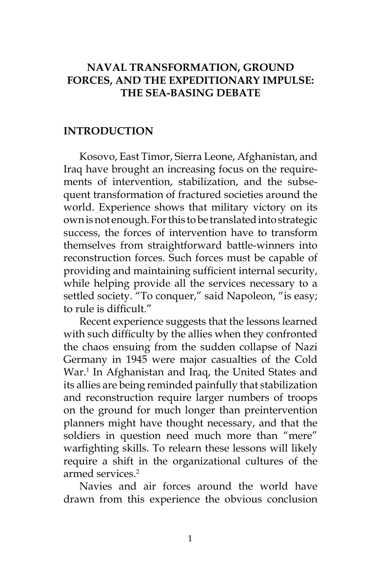## **NAVAL TRANSFORMATION, GROUND FORCES, AND THE EXPEDITIONARY IMPULSE: THE SEA-BASING DEBATE**

#### **INTRODUCTION**

Kosovo, East Timor, Sierra Leone, Afghanistan, and Iraq have brought an increasing focus on the requirements of intervention, stabilization, and the subsequent transformation of fractured societies around the world. Experience shows that military victory on its own is not enough. For this to be translated into strategic success, the forces of intervention have to transform themselves from straightforward battle-winners into reconstruction forces. Such forces must be capable of providing and maintaining sufficient internal security, while helping provide all the services necessary to a settled society. "To conquer," said Napoleon, "is easy; to rule is difficult."

Recent experience suggests that the lessons learned with such difficulty by the allies when they confronted the chaos ensuing from the sudden collapse of Nazi Germany in 1945 were major casualties of the Cold War.<sup>1</sup> In Afghanistan and Iraq, the United States and its allies are being reminded painfully that stabilization and reconstruction require larger numbers of troops on the ground for much longer than preintervention planners might have thought necessary, and that the soldiers in question need much more than "mere" warfighting skills. To relearn these lessons will likely require a shift in the organizational cultures of the armed services.2

Navies and air forces around the world have drawn from this experience the obvious conclusion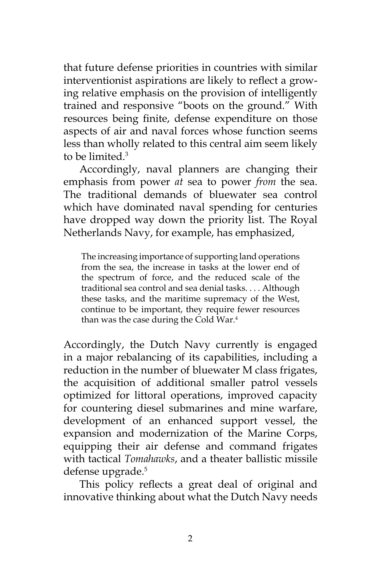that future defense priorities in countries with similar interventionist aspirations are likely to reflect a growing relative emphasis on the provision of intelligently trained and responsive "boots on the ground." With resources being finite, defense expenditure on those aspects of air and naval forces whose function seems less than wholly related to this central aim seem likely to be limited.3

Accordingly, naval planners are changing their emphasis from power *at* sea to power *from* the sea. The traditional demands of bluewater sea control which have dominated naval spending for centuries have dropped way down the priority list. The Royal Netherlands Navy, for example, has emphasized,

The increasing importance of supporting land operations from the sea, the increase in tasks at the lower end of the spectrum of force, and the reduced scale of the traditional sea control and sea denial tasks. . . . Although these tasks, and the maritime supremacy of the West, continue to be important, they require fewer resources than was the case during the Cold War.<sup>4</sup>

Accordingly, the Dutch Navy currently is engaged in a major rebalancing of its capabilities, including a reduction in the number of bluewater M class frigates, the acquisition of additional smaller patrol vessels optimized for littoral operations, improved capacity for countering diesel submarines and mine warfare, development of an enhanced support vessel, the expansion and modernization of the Marine Corps, equipping their air defense and command frigates with tactical *Tomahawks*, and a theater ballistic missile defense upgrade.<sup>5</sup>

This policy reflects a great deal of original and innovative thinking about what the Dutch Navy needs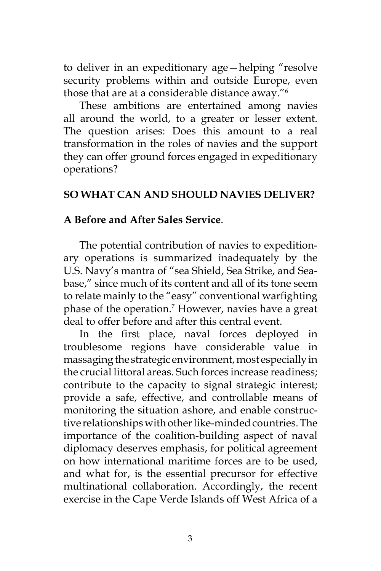to deliver in an expeditionary age—helping "resolve security problems within and outside Europe, even those that are at a considerable distance away."6

These ambitions are entertained among navies all around the world, to a greater or lesser extent. The question arises: Does this amount to a real transformation in the roles of navies and the support they can offer ground forces engaged in expeditionary operations?

## **SO WHAT CAN AND SHOULD NAVIES DELIVER?**

## **A Before and After Sales Service**.

The potential contribution of navies to expeditionary operations is summarized inadequately by the U.S. Navy's mantra of "sea Shield, Sea Strike, and Seabase," since much of its content and all of its tone seem to relate mainly to the "easy" conventional warfighting phase of the operation.7 However, navies have a great deal to offer before and after this central event.

In the first place, naval forces deployed in troublesome regions have considerable value in massaging the strategic environment, most especially in the crucial littoral areas. Such forces increase readiness; contribute to the capacity to signal strategic interest; provide a safe, effective, and controllable means of monitoring the situation ashore, and enable constructive relationships with other like-minded countries. The importance of the coalition-building aspect of naval diplomacy deserves emphasis, for political agreement on how international maritime forces are to be used, and what for, is the essential precursor for effective multinational collaboration. Accordingly, the recent exercise in the Cape Verde Islands off West Africa of a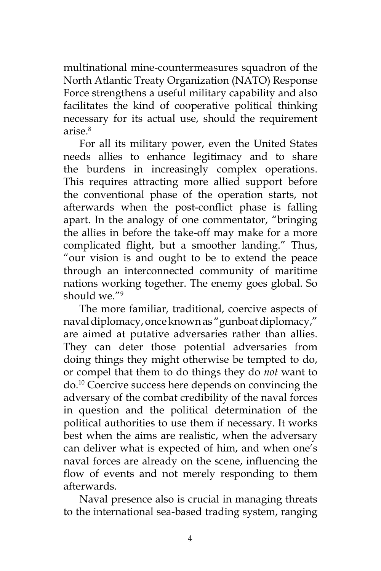multinational mine-countermeasures squadron of the North Atlantic Treaty Organization (NATO) Response Force strengthens a useful military capability and also facilitates the kind of cooperative political thinking necessary for its actual use, should the requirement arise.8

For all its military power, even the United States needs allies to enhance legitimacy and to share the burdens in increasingly complex operations. This requires attracting more allied support before the conventional phase of the operation starts, not afterwards when the post-conflict phase is falling apart. In the analogy of one commentator, "bringing the allies in before the take-off may make for a more complicated flight, but a smoother landing." Thus, "our vision is and ought to be to extend the peace through an interconnected community of maritime nations working together. The enemy goes global. So should we."9

The more familiar, traditional, coercive aspects of naval diplomacy, once known as "gunboat diplomacy," are aimed at putative adversaries rather than allies. They can deter those potential adversaries from doing things they might otherwise be tempted to do, or compel that them to do things they do *not* want to do.10 Coercive success here depends on convincing the adversary of the combat credibility of the naval forces in question and the political determination of the political authorities to use them if necessary. It works best when the aims are realistic, when the adversary can deliver what is expected of him, and when one's naval forces are already on the scene, influencing the flow of events and not merely responding to them afterwards.

Naval presence also is crucial in managing threats to the international sea-based trading system, ranging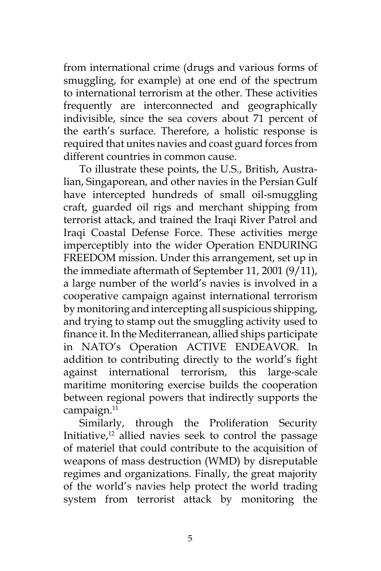from international crime (drugs and various forms of smuggling, for example) at one end of the spectrum to international terrorism at the other. These activities frequently are interconnected and geographically indivisible, since the sea covers about 71 percent of the earth's surface. Therefore, a holistic response is required that unites navies and coast guard forces from different countries in common cause.

To illustrate these points, the U.S., British, Australian, Singaporean, and other navies in the Persian Gulf have intercepted hundreds of small oil-smuggling craft, guarded oil rigs and merchant shipping from terrorist attack, and trained the Iraqi River Patrol and Iraqi Coastal Defense Force. These activities merge imperceptibly into the wider Operation ENDURING FREEDOM mission. Under this arrangement, set up in the immediate aftermath of September 11, 2001 (9/11), a large number of the world's navies is involved in a cooperative campaign against international terrorism by monitoring and intercepting all suspicious shipping, and trying to stamp out the smuggling activity used to finance it. In the Mediterranean, allied ships participate in NATO's Operation ACTIVE ENDEAVOR. In addition to contributing directly to the world's fight against international terrorism, this large-scale maritime monitoring exercise builds the cooperation between regional powers that indirectly supports the campaign.<sup>11</sup>

Similarly, through the Proliferation Security Initiative, $12$  allied navies seek to control the passage of materiel that could contribute to the acquisition of weapons of mass destruction (WMD) by disreputable regimes and organizations. Finally, the great majority of the world's navies help protect the world trading system from terrorist attack by monitoring the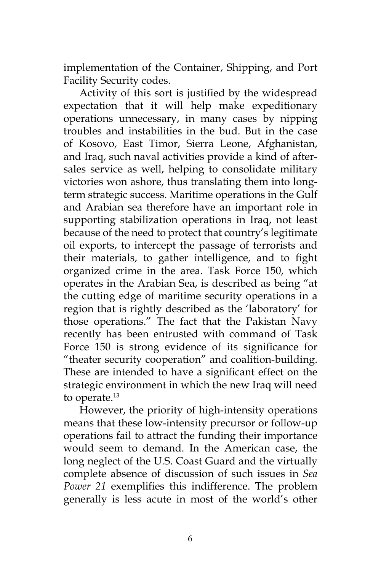implementation of the Container, Shipping, and Port Facility Security codes.

Activity of this sort is justified by the widespread expectation that it will help make expeditionary operations unnecessary, in many cases by nipping troubles and instabilities in the bud. But in the case of Kosovo, East Timor, Sierra Leone, Afghanistan, and Iraq, such naval activities provide a kind of aftersales service as well, helping to consolidate military victories won ashore, thus translating them into longterm strategic success. Maritime operations in the Gulf and Arabian sea therefore have an important role in supporting stabilization operations in Iraq, not least because of the need to protect that country's legitimate oil exports, to intercept the passage of terrorists and their materials, to gather intelligence, and to fight organized crime in the area. Task Force 150, which operates in the Arabian Sea, is described as being "at the cutting edge of maritime security operations in a region that is rightly described as the 'laboratory' for those operations." The fact that the Pakistan Navy recently has been entrusted with command of Task Force 150 is strong evidence of its significance for "theater security cooperation" and coalition-building. These are intended to have a significant effect on the strategic environment in which the new Iraq will need to operate.<sup>13</sup>

However, the priority of high-intensity operations means that these low-intensity precursor or follow-up operations fail to attract the funding their importance would seem to demand. In the American case, the long neglect of the U.S. Coast Guard and the virtually complete absence of discussion of such issues in *Sea Power 21* exemplifies this indifference. The problem generally is less acute in most of the world's other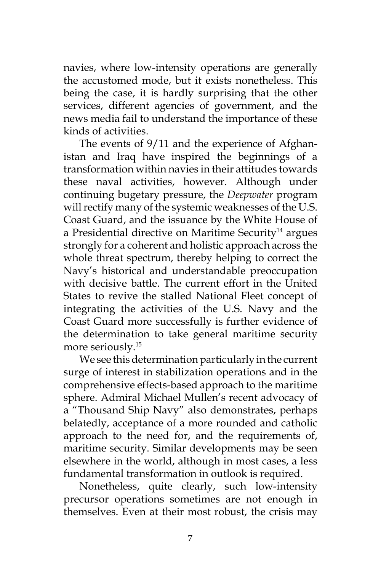navies, where low-intensity operations are generally the accustomed mode, but it exists nonetheless. This being the case, it is hardly surprising that the other services, different agencies of government, and the news media fail to understand the importance of these kinds of activities.

The events of 9/11 and the experience of Afghanistan and Iraq have inspired the beginnings of a transformation within navies in their attitudes towards these naval activities, however. Although under continuing bugetary pressure, the *Deepwater* program will rectify many of the systemic weaknesses of the U.S. Coast Guard, and the issuance by the White House of a Presidential directive on Maritime Security<sup>14</sup> argues strongly for a coherent and holistic approach across the whole threat spectrum, thereby helping to correct the Navy's historical and understandable preoccupation with decisive battle. The current effort in the United States to revive the stalled National Fleet concept of integrating the activities of the U.S. Navy and the Coast Guard more successfully is further evidence of the determination to take general maritime security more seriously.<sup>15</sup>

We see this determination particularly in the current surge of interest in stabilization operations and in the comprehensive effects-based approach to the maritime sphere. Admiral Michael Mullen's recent advocacy of a "Thousand Ship Navy" also demonstrates, perhaps belatedly, acceptance of a more rounded and catholic approach to the need for, and the requirements of, maritime security. Similar developments may be seen elsewhere in the world, although in most cases, a less fundamental transformation in outlook is required.

Nonetheless, quite clearly, such low-intensity precursor operations sometimes are not enough in themselves. Even at their most robust, the crisis may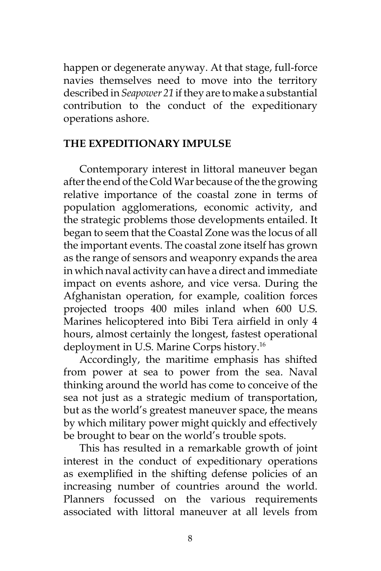happen or degenerate anyway. At that stage, full-force navies themselves need to move into the territory described in *Seapower 21* if they are to make a substantial contribution to the conduct of the expeditionary operations ashore.

## **THE EXPEDITIONARY IMPULSE**

Contemporary interest in littoral maneuver began after the end of the Cold War because of the the growing relative importance of the coastal zone in terms of population agglomerations, economic activity, and the strategic problems those developments entailed. It began to seem that the Coastal Zone was the locus of all the important events. The coastal zone itself has grown as the range of sensors and weaponry expands the area in which naval activity can have a direct and immediate impact on events ashore, and vice versa. During the Afghanistan operation, for example, coalition forces projected troops 400 miles inland when 600 U.S. Marines helicoptered into Bibi Tera airfield in only 4 hours, almost certainly the longest, fastest operational deployment in U.S. Marine Corps history.16

Accordingly, the maritime emphasis has shifted from power at sea to power from the sea. Naval thinking around the world has come to conceive of the sea not just as a strategic medium of transportation, but as the world's greatest maneuver space, the means by which military power might quickly and effectively be brought to bear on the world's trouble spots.

This has resulted in a remarkable growth of joint interest in the conduct of expeditionary operations as exemplified in the shifting defense policies of an increasing number of countries around the world. Planners focussed on the various requirements associated with littoral maneuver at all levels from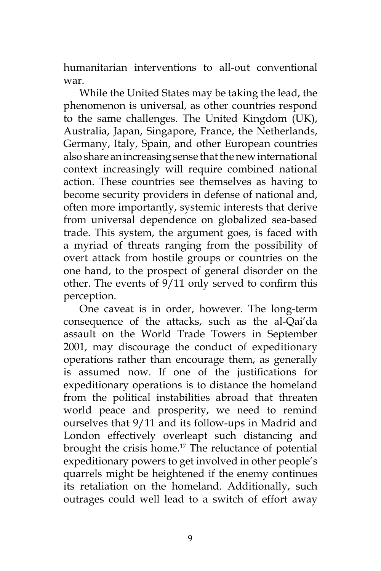humanitarian interventions to all-out conventional war.

While the United States may be taking the lead, the phenomenon is universal, as other countries respond to the same challenges. The United Kingdom (UK), Australia, Japan, Singapore, France, the Netherlands, Germany, Italy, Spain, and other European countries also share an increasing sense that the new international context increasingly will require combined national action. These countries see themselves as having to become security providers in defense of national and, often more importantly, systemic interests that derive from universal dependence on globalized sea-based trade. This system, the argument goes, is faced with a myriad of threats ranging from the possibility of overt attack from hostile groups or countries on the one hand, to the prospect of general disorder on the other. The events of 9/11 only served to confirm this perception.

One caveat is in order, however. The long-term consequence of the attacks, such as the al-Qai'da assault on the World Trade Towers in September 2001, may discourage the conduct of expeditionary operations rather than encourage them, as generally is assumed now. If one of the justifications for expeditionary operations is to distance the homeland from the political instabilities abroad that threaten world peace and prosperity, we need to remind ourselves that 9/11 and its follow-ups in Madrid and London effectively overleapt such distancing and brought the crisis home.<sup>17</sup> The reluctance of potential expeditionary powers to get involved in other people's quarrels might be heightened if the enemy continues its retaliation on the homeland. Additionally, such outrages could well lead to a switch of effort away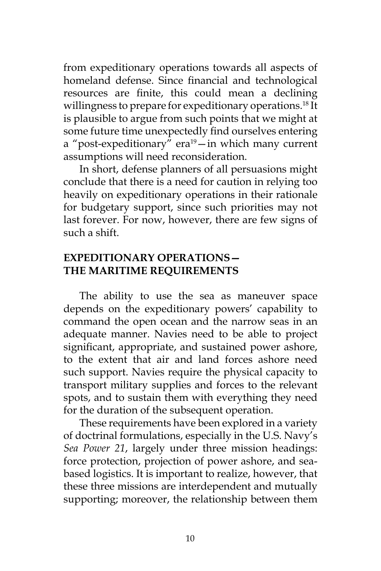from expeditionary operations towards all aspects of homeland defense. Since financial and technological resources are finite, this could mean a declining willingness to prepare for expeditionary operations.<sup>18</sup> It is plausible to argue from such points that we might at some future time unexpectedly find ourselves entering a "post-expeditionary" era $19$ -in which many current assumptions will need reconsideration.

In short, defense planners of all persuasions might conclude that there is a need for caution in relying too heavily on expeditionary operations in their rationale for budgetary support, since such priorities may not last forever. For now, however, there are few signs of such a shift.

## **EXPEDITIONARY OPERATIONS— THE MARITIME REQUIREMENTS**

The ability to use the sea as maneuver space depends on the expeditionary powers' capability to command the open ocean and the narrow seas in an adequate manner. Navies need to be able to project significant, appropriate, and sustained power ashore, to the extent that air and land forces ashore need such support. Navies require the physical capacity to transport military supplies and forces to the relevant spots, and to sustain them with everything they need for the duration of the subsequent operation.

These requirements have been explored in a variety of doctrinal formulations, especially in the U.S. Navy's *Sea Power 21*, largely under three mission headings: force protection, projection of power ashore, and seabased logistics. It is important to realize, however, that these three missions are interdependent and mutually supporting; moreover, the relationship between them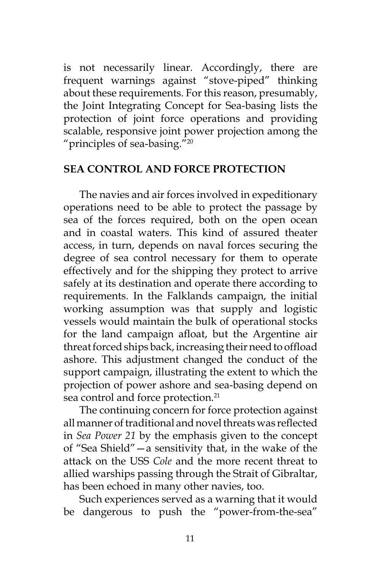is not necessarily linear. Accordingly, there are frequent warnings against "stove-piped" thinking about these requirements. For this reason, presumably, the Joint Integrating Concept for Sea-basing lists the protection of joint force operations and providing scalable, responsive joint power projection among the "principles of sea-basing."20

#### **SEA CONTROL AND FORCE PROTECTION**

The navies and air forces involved in expeditionary operations need to be able to protect the passage by sea of the forces required, both on the open ocean and in coastal waters. This kind of assured theater access, in turn, depends on naval forces securing the degree of sea control necessary for them to operate effectively and for the shipping they protect to arrive safely at its destination and operate there according to requirements. In the Falklands campaign, the initial working assumption was that supply and logistic vessels would maintain the bulk of operational stocks for the land campaign afloat, but the Argentine air threat forced ships back, increasing their need to offload ashore. This adjustment changed the conduct of the support campaign, illustrating the extent to which the projection of power ashore and sea-basing depend on sea control and force protection.<sup>21</sup>

The continuing concern for force protection against all manner of traditional and novel threats was reflected in *Sea Power 21* by the emphasis given to the concept of "Sea Shield"—a sensitivity that, in the wake of the attack on the USS *Cole* and the more recent threat to allied warships passing through the Strait of Gibraltar, has been echoed in many other navies, too.

Such experiences served as a warning that it would be dangerous to push the "power-from-the-sea"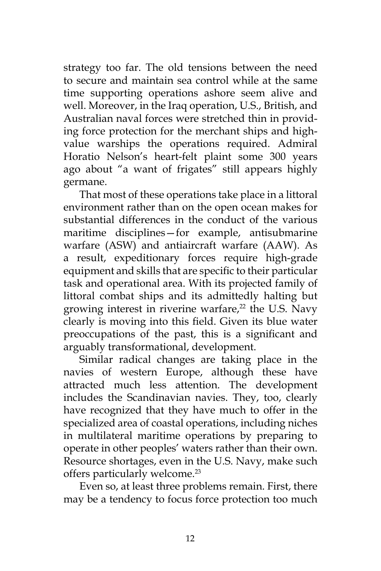strategy too far. The old tensions between the need to secure and maintain sea control while at the same time supporting operations ashore seem alive and well. Moreover, in the Iraq operation, U.S., British, and Australian naval forces were stretched thin in providing force protection for the merchant ships and highvalue warships the operations required. Admiral Horatio Nelson's heart-felt plaint some 300 years ago about "a want of frigates" still appears highly germane.

That most of these operations take place in a littoral environment rather than on the open ocean makes for substantial differences in the conduct of the various maritime disciplines—for example, antisubmarine warfare (ASW) and antiaircraft warfare (AAW). As a result, expeditionary forces require high-grade equipment and skills that are specific to their particular task and operational area. With its projected family of littoral combat ships and its admittedly halting but growing interest in riverine warfare, $22$  the U.S. Navy clearly is moving into this field. Given its blue water preoccupations of the past, this is a significant and arguably transformational, development.

Similar radical changes are taking place in the navies of western Europe, although these have attracted much less attention. The development includes the Scandinavian navies. They, too, clearly have recognized that they have much to offer in the specialized area of coastal operations, including niches in multilateral maritime operations by preparing to operate in other peoples' waters rather than their own. Resource shortages, even in the U.S. Navy, make such offers particularly welcome.<sup>23</sup>

Even so, at least three problems remain. First, there may be a tendency to focus force protection too much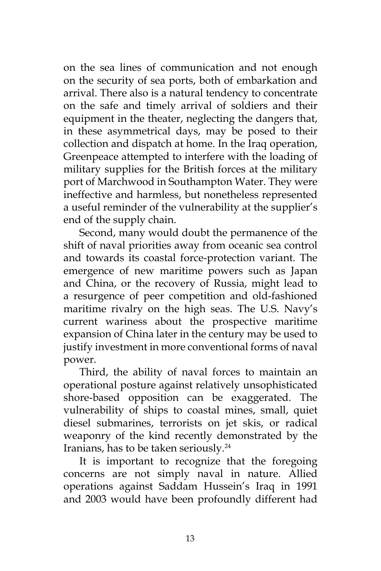on the sea lines of communication and not enough on the security of sea ports, both of embarkation and arrival. There also is a natural tendency to concentrate on the safe and timely arrival of soldiers and their equipment in the theater, neglecting the dangers that, in these asymmetrical days, may be posed to their collection and dispatch at home. In the Iraq operation, Greenpeace attempted to interfere with the loading of military supplies for the British forces at the military port of Marchwood in Southampton Water. They were ineffective and harmless, but nonetheless represented a useful reminder of the vulnerability at the supplier's end of the supply chain.

Second, many would doubt the permanence of the shift of naval priorities away from oceanic sea control and towards its coastal force-protection variant. The emergence of new maritime powers such as Japan and China, or the recovery of Russia, might lead to a resurgence of peer competition and old-fashioned maritime rivalry on the high seas. The U.S. Navy's current wariness about the prospective maritime expansion of China later in the century may be used to justify investment in more conventional forms of naval power.

Third, the ability of naval forces to maintain an operational posture against relatively unsophisticated shore-based opposition can be exaggerated. The vulnerability of ships to coastal mines, small, quiet diesel submarines, terrorists on jet skis, or radical weaponry of the kind recently demonstrated by the Iranians, has to be taken seriously.24

It is important to recognize that the foregoing concerns are not simply naval in nature. Allied operations against Saddam Hussein's Iraq in 1991 and 2003 would have been profoundly different had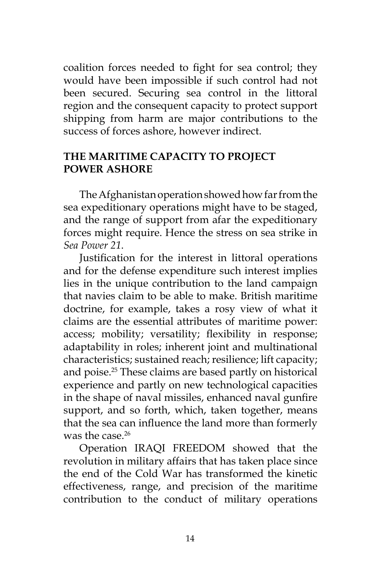coalition forces needed to fight for sea control; they would have been impossible if such control had not been secured. Securing sea control in the littoral region and the consequent capacity to protect support shipping from harm are major contributions to the success of forces ashore, however indirect.

## **THE MARITIME CAPACITY TO PROJECT POWER ASHORE**

The Afghanistan operation showed how far from the sea expeditionary operations might have to be staged, and the range of support from afar the expeditionary forces might require. Hence the stress on sea strike in *Sea Power 21*.

Justification for the interest in littoral operations and for the defense expenditure such interest implies lies in the unique contribution to the land campaign that navies claim to be able to make. British maritime doctrine, for example, takes a rosy view of what it claims are the essential attributes of maritime power: access; mobility; versatility; flexibility in response; adaptability in roles; inherent joint and multinational characteristics; sustained reach; resilience; lift capacity; and poise.25 These claims are based partly on historical experience and partly on new technological capacities in the shape of naval missiles, enhanced naval gunfire support, and so forth, which, taken together, means that the sea can influence the land more than formerly was the case  $^{26}$ 

Operation IRAQI FREEDOM showed that the revolution in military affairs that has taken place since the end of the Cold War has transformed the kinetic effectiveness, range, and precision of the maritime contribution to the conduct of military operations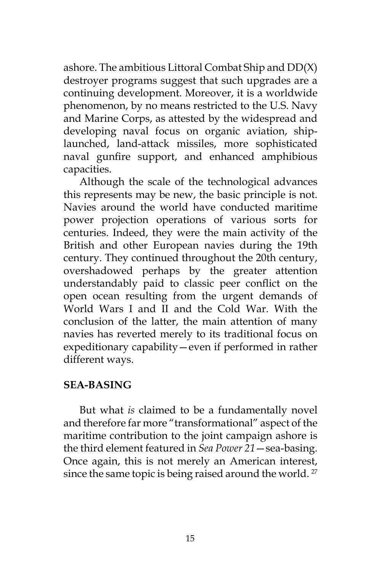ashore. The ambitious Littoral Combat Ship and DD(X) destroyer programs suggest that such upgrades are a continuing development. Moreover, it is a worldwide phenomenon, by no means restricted to the U.S. Navy and Marine Corps, as attested by the widespread and developing naval focus on organic aviation, shiplaunched, land-attack missiles, more sophisticated naval gunfire support, and enhanced amphibious capacities.

Although the scale of the technological advances this represents may be new, the basic principle is not. Navies around the world have conducted maritime power projection operations of various sorts for centuries. Indeed, they were the main activity of the British and other European navies during the 19th century. They continued throughout the 20th century, overshadowed perhaps by the greater attention understandably paid to classic peer conflict on the open ocean resulting from the urgent demands of World Wars I and II and the Cold War. With the conclusion of the latter, the main attention of many navies has reverted merely to its traditional focus on expeditionary capability—even if performed in rather different ways.

## **SEA-BASING**

But what *is* claimed to be a fundamentally novel and therefore far more "transformational" aspect of the maritime contribution to the joint campaign ashore is the third element featured in *Sea Power 21*—sea-basing. Once again, this is not merely an American interest, since the same topic is being raised around the world.<sup>27</sup>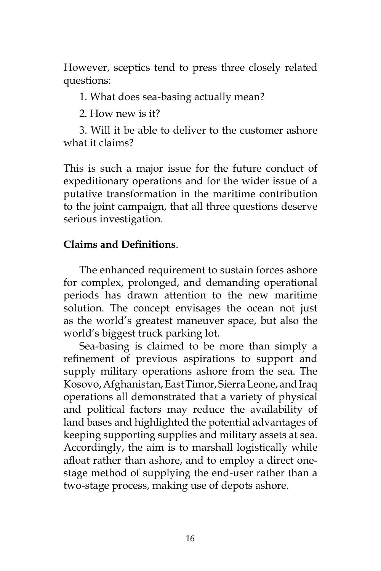However, sceptics tend to press three closely related questions:

1. What does sea-basing actually mean?

2. How new is it?

3. Will it be able to deliver to the customer ashore what it claims?

This is such a major issue for the future conduct of expeditionary operations and for the wider issue of a putative transformation in the maritime contribution to the joint campaign, that all three questions deserve serious investigation.

# **Claims and Definitions**.

The enhanced requirement to sustain forces ashore for complex, prolonged, and demanding operational periods has drawn attention to the new maritime solution. The concept envisages the ocean not just as the world's greatest maneuver space, but also the world's biggest truck parking lot.

Sea-basing is claimed to be more than simply a refinement of previous aspirations to support and supply military operations ashore from the sea. The Kosovo, Afghanistan, East Timor, Sierra Leone, and Iraq operations all demonstrated that a variety of physical and political factors may reduce the availability of land bases and highlighted the potential advantages of keeping supporting supplies and military assets at sea. Accordingly, the aim is to marshall logistically while afloat rather than ashore, and to employ a direct onestage method of supplying the end-user rather than a two-stage process, making use of depots ashore.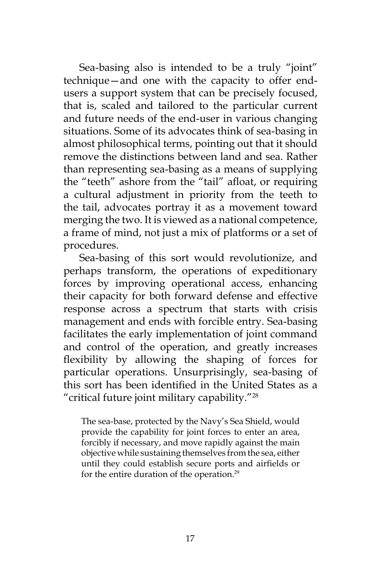Sea-basing also is intended to be a truly "joint" technique—and one with the capacity to offer endusers a support system that can be precisely focused, that is, scaled and tailored to the particular current and future needs of the end-user in various changing situations. Some of its advocates think of sea-basing in almost philosophical terms, pointing out that it should remove the distinctions between land and sea. Rather than representing sea-basing as a means of supplying the "teeth" ashore from the "tail" afloat, or requiring a cultural adjustment in priority from the teeth to the tail, advocates portray it as a movement toward merging the two. It is viewed as a national competence, a frame of mind, not just a mix of platforms or a set of procedures.

Sea-basing of this sort would revolutionize, and perhaps transform, the operations of expeditionary forces by improving operational access, enhancing their capacity for both forward defense and effective response across a spectrum that starts with crisis management and ends with forcible entry. Sea-basing facilitates the early implementation of joint command and control of the operation, and greatly increases flexibility by allowing the shaping of forces for particular operations. Unsurprisingly, sea-basing of this sort has been identified in the United States as a "critical future joint military capability."28

The sea-base, protected by the Navy's Sea Shield, would provide the capability for joint forces to enter an area, forcibly if necessary, and move rapidly against the main objective while sustaining themselves from the sea, either until they could establish secure ports and airfields or for the entire duration of the operation.29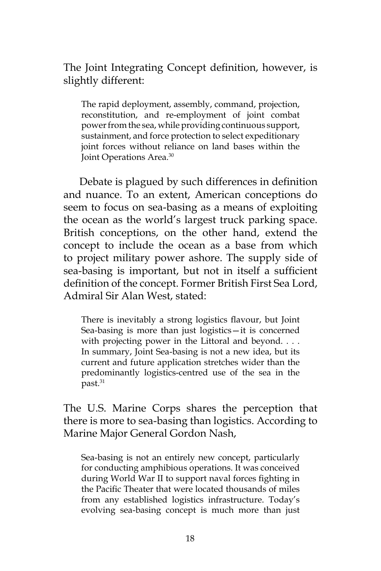The Joint Integrating Concept definition, however, is slightly different:

The rapid deployment, assembly, command, projection, reconstitution, and re-employment of joint combat power from the sea, while providing continuous support, sustainment, and force protection to select expeditionary joint forces without reliance on land bases within the Joint Operations Area.30

Debate is plagued by such differences in definition and nuance. To an extent, American conceptions do seem to focus on sea-basing as a means of exploiting the ocean as the world's largest truck parking space. British conceptions, on the other hand, extend the concept to include the ocean as a base from which to project military power ashore. The supply side of sea-basing is important, but not in itself a sufficient definition of the concept. Former British First Sea Lord, Admiral Sir Alan West, stated:

There is inevitably a strong logistics flavour, but Joint Sea-basing is more than just logistics—it is concerned with projecting power in the Littoral and beyond. . . . In summary, Joint Sea-basing is not a new idea, but its current and future application stretches wider than the predominantly logistics-centred use of the sea in the past.<sup>31</sup>

The U.S. Marine Corps shares the perception that there is more to sea-basing than logistics. According to Marine Major General Gordon Nash,

Sea-basing is not an entirely new concept, particularly for conducting amphibious operations. It was conceived during World War II to support naval forces fighting in the Pacific Theater that were located thousands of miles from any established logistics infrastructure. Today's evolving sea-basing concept is much more than just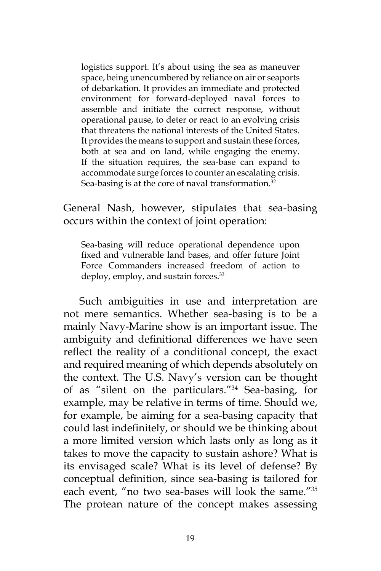logistics support. It's about using the sea as maneuver space, being unencumbered by reliance on air or seaports of debarkation. It provides an immediate and protected environment for forward-deployed naval forces to assemble and initiate the correct response, without operational pause, to deter or react to an evolving crisis that threatens the national interests of the United States. It provides the means to support and sustain these forces, both at sea and on land, while engaging the enemy. If the situation requires, the sea-base can expand to accommodate surge forces to counter an escalating crisis. Sea-basing is at the core of naval transformation.<sup>32</sup>

General Nash, however, stipulates that sea-basing occurs within the context of joint operation:

Sea-basing will reduce operational dependence upon fixed and vulnerable land bases, and offer future Joint Force Commanders increased freedom of action to deploy, employ, and sustain forces.<sup>33</sup>

Such ambiguities in use and interpretation are not mere semantics. Whether sea-basing is to be a mainly Navy-Marine show is an important issue. The ambiguity and definitional differences we have seen reflect the reality of a conditional concept, the exact and required meaning of which depends absolutely on the context. The U.S. Navy's version can be thought of as "silent on the particulars."34 Sea-basing, for example, may be relative in terms of time. Should we, for example, be aiming for a sea-basing capacity that could last indefinitely, or should we be thinking about a more limited version which lasts only as long as it takes to move the capacity to sustain ashore? What is its envisaged scale? What is its level of defense? By conceptual definition, since sea-basing is tailored for each event, "no two sea-bases will look the same."35 The protean nature of the concept makes assessing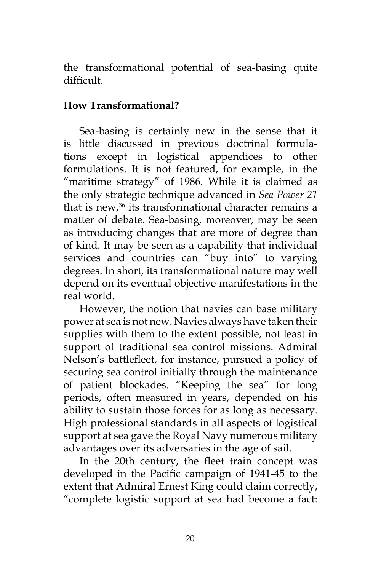the transformational potential of sea-basing quite difficult.

## **How Transformational?**

Sea-basing is certainly new in the sense that it is little discussed in previous doctrinal formulations except in logistical appendices to other formulations. It is not featured, for example, in the "maritime strategy" of 1986. While it is claimed as the only strategic technique advanced in *Sea Power 21* that is new,<sup>36</sup> its transformational character remains a matter of debate. Sea-basing, moreover, may be seen as introducing changes that are more of degree than of kind. It may be seen as a capability that individual services and countries can "buy into" to varying degrees. In short, its transformational nature may well depend on its eventual objective manifestations in the real world.

However, the notion that navies can base military power at sea is not new. Navies always have taken their supplies with them to the extent possible, not least in support of traditional sea control missions. Admiral Nelson's battlefleet, for instance, pursued a policy of securing sea control initially through the maintenance of patient blockades. "Keeping the sea" for long periods, often measured in years, depended on his ability to sustain those forces for as long as necessary. High professional standards in all aspects of logistical support at sea gave the Royal Navy numerous military advantages over its adversaries in the age of sail.

In the 20th century, the fleet train concept was developed in the Pacific campaign of 1941-45 to the extent that Admiral Ernest King could claim correctly, "complete logistic support at sea had become a fact: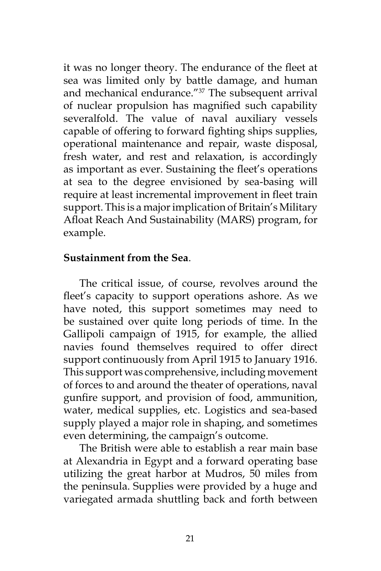it was no longer theory. The endurance of the fleet at sea was limited only by battle damage, and human and mechanical endurance."<sup>37</sup> The subsequent arrival of nuclear propulsion has magnified such capability severalfold. The value of naval auxiliary vessels capable of offering to forward fighting ships supplies, operational maintenance and repair, waste disposal, fresh water, and rest and relaxation, is accordingly as important as ever. Sustaining the fleet's operations at sea to the degree envisioned by sea-basing will require at least incremental improvement in fleet train support. This is a major implication of Britain's Military Afloat Reach And Sustainability (MARS) program, for example.

#### **Sustainment from the Sea**.

The critical issue, of course, revolves around the fleet's capacity to support operations ashore. As we have noted, this support sometimes may need to be sustained over quite long periods of time. In the Gallipoli campaign of 1915, for example, the allied navies found themselves required to offer direct support continuously from April 1915 to January 1916. This support was comprehensive, including movement of forces to and around the theater of operations, naval gunfire support, and provision of food, ammunition, water, medical supplies, etc. Logistics and sea-based supply played a major role in shaping, and sometimes even determining, the campaign's outcome.

The British were able to establish a rear main base at Alexandria in Egypt and a forward operating base utilizing the great harbor at Mudros, 50 miles from the peninsula. Supplies were provided by a huge and variegated armada shuttling back and forth between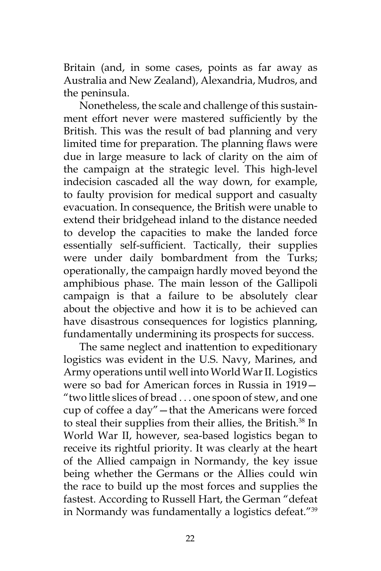Britain (and, in some cases, points as far away as Australia and New Zealand), Alexandria, Mudros, and the peninsula.

Nonetheless, the scale and challenge of this sustainment effort never were mastered sufficiently by the British. This was the result of bad planning and very limited time for preparation. The planning flaws were due in large measure to lack of clarity on the aim of the campaign at the strategic level. This high-level indecision cascaded all the way down, for example, to faulty provision for medical support and casualty evacuation. In consequence, the British were unable to extend their bridgehead inland to the distance needed to develop the capacities to make the landed force essentially self-sufficient. Tactically, their supplies were under daily bombardment from the Turks; operationally, the campaign hardly moved beyond the amphibious phase. The main lesson of the Gallipoli campaign is that a failure to be absolutely clear about the objective and how it is to be achieved can have disastrous consequences for logistics planning, fundamentally undermining its prospects for success.

The same neglect and inattention to expeditionary logistics was evident in the U.S. Navy, Marines, and Army operations until well into World War II. Logistics were so bad for American forces in Russia in 1919— "two little slices of bread . . . one spoon of stew, and one cup of coffee a day"—that the Americans were forced to steal their supplies from their allies, the British.<sup>38</sup> In World War II, however, sea-based logistics began to receive its rightful priority. It was clearly at the heart of the Allied campaign in Normandy, the key issue being whether the Germans or the Allies could win the race to build up the most forces and supplies the fastest. According to Russell Hart, the German "defeat in Normandy was fundamentally a logistics defeat."39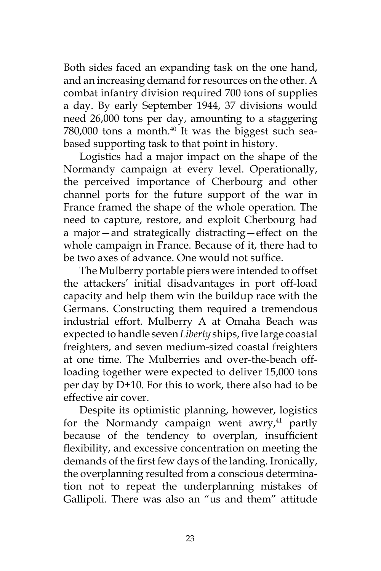Both sides faced an expanding task on the one hand, and an increasing demand for resources on the other. A combat infantry division required 700 tons of supplies a day. By early September 1944, 37 divisions would need 26,000 tons per day, amounting to a staggering 780,000 tons a month.<sup>40</sup> It was the biggest such seabased supporting task to that point in history.

Logistics had a major impact on the shape of the Normandy campaign at every level. Operationally, the perceived importance of Cherbourg and other channel ports for the future support of the war in France framed the shape of the whole operation. The need to capture, restore, and exploit Cherbourg had a major—and strategically distracting—effect on the whole campaign in France. Because of it, there had to be two axes of advance. One would not suffice.

The Mulberry portable piers were intended to offset the attackers' initial disadvantages in port off-load capacity and help them win the buildup race with the Germans. Constructing them required a tremendous industrial effort. Mulberry A at Omaha Beach was expected to handle seven *Liberty* ships, five large coastal freighters, and seven medium-sized coastal freighters at one time. The Mulberries and over-the-beach offloading together were expected to deliver 15,000 tons per day by D+10. For this to work, there also had to be effective air cover.

Despite its optimistic planning, however, logistics for the Normandy campaign went awry, $41$  partly because of the tendency to overplan, insufficient flexibility, and excessive concentration on meeting the demands of the first few days of the landing. Ironically, the overplanning resulted from a conscious determination not to repeat the underplanning mistakes of Gallipoli. There was also an "us and them" attitude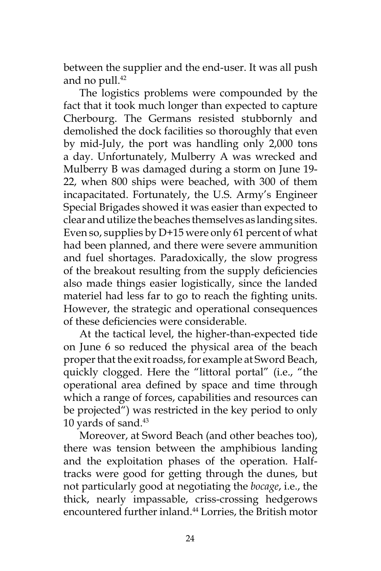between the supplier and the end-user. It was all push and no pull. $42$ 

The logistics problems were compounded by the fact that it took much longer than expected to capture Cherbourg. The Germans resisted stubbornly and demolished the dock facilities so thoroughly that even by mid-July, the port was handling only 2,000 tons a day. Unfortunately, Mulberry A was wrecked and Mulberry B was damaged during a storm on June 19- 22, when 800 ships were beached, with 300 of them incapacitated. Fortunately, the U.S. Army's Engineer Special Brigades showed it was easier than expected to clear and utilize the beaches themselves as landing sites. Even so, supplies by D+15 were only 61 percent of what had been planned, and there were severe ammunition and fuel shortages. Paradoxically, the slow progress of the breakout resulting from the supply deficiencies also made things easier logistically, since the landed materiel had less far to go to reach the fighting units. However, the strategic and operational consequences of these deficiencies were considerable.

At the tactical level, the higher-than-expected tide on June 6 so reduced the physical area of the beach proper that the exit roadss, for example at Sword Beach, quickly clogged. Here the "littoral portal" (i.e., "the operational area defined by space and time through which a range of forces, capabilities and resources can be projected") was restricted in the key period to only 10 yards of sand.<sup>43</sup>

Moreover, at Sword Beach (and other beaches too), there was tension between the amphibious landing and the exploitation phases of the operation. Halftracks were good for getting through the dunes, but not particularly good at negotiating the *bocage*, i.e., the thick, nearly impassable, criss-crossing hedgerows encountered further inland.<sup>44</sup> Lorries, the British motor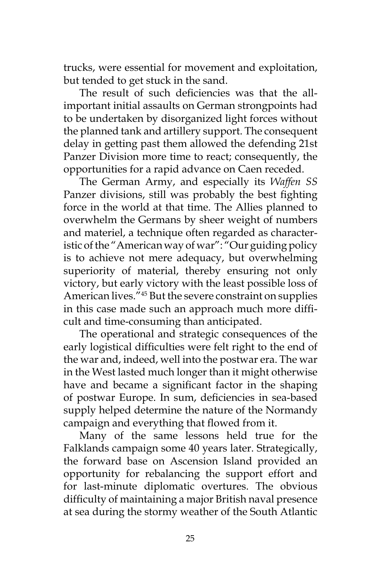trucks, were essential for movement and exploitation, but tended to get stuck in the sand.

The result of such deficiencies was that the allimportant initial assaults on German strongpoints had to be undertaken by disorganized light forces without the planned tank and artillery support. The consequent delay in getting past them allowed the defending 21st Panzer Division more time to react; consequently, the opportunities for a rapid advance on Caen receded.

The German Army, and especially its *Waffen SS* Panzer divisions, still was probably the best fighting force in the world at that time. The Allies planned to overwhelm the Germans by sheer weight of numbers and materiel, a technique often regarded as characteristic of the "American way of war": "Our guiding policy is to achieve not mere adequacy, but overwhelming superiority of material, thereby ensuring not only victory, but early victory with the least possible loss of American lives."45 But the severe constraint on supplies in this case made such an approach much more difficult and time-consuming than anticipated.

The operational and strategic consequences of the early logistical difficulties were felt right to the end of the war and, indeed, well into the postwar era. The war in the West lasted much longer than it might otherwise have and became a significant factor in the shaping of postwar Europe. In sum, deficiencies in sea-based supply helped determine the nature of the Normandy campaign and everything that flowed from it.

Many of the same lessons held true for the Falklands campaign some 40 years later. Strategically, the forward base on Ascension Island provided an opportunity for rebalancing the support effort and for last-minute diplomatic overtures. The obvious difficulty of maintaining a major British naval presence at sea during the stormy weather of the South Atlantic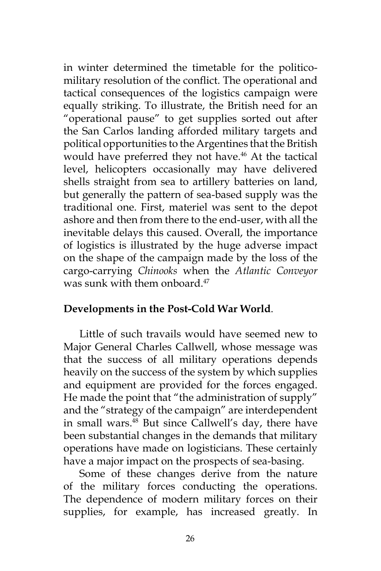in winter determined the timetable for the politicomilitary resolution of the conflict. The operational and tactical consequences of the logistics campaign were equally striking. To illustrate, the British need for an "operational pause" to get supplies sorted out after the San Carlos landing afforded military targets and political opportunities to the Argentines that the British would have preferred they not have.<sup>46</sup> At the tactical level, helicopters occasionally may have delivered shells straight from sea to artillery batteries on land, but generally the pattern of sea-based supply was the traditional one. First, materiel was sent to the depot ashore and then from there to the end-user, with all the inevitable delays this caused. Overall, the importance of logistics is illustrated by the huge adverse impact on the shape of the campaign made by the loss of the cargo-carrying *Chinooks* when the *Atlantic Conveyor* was sunk with them onboard.<sup>47</sup>

## **Developments in the Post-Cold War World**.

Little of such travails would have seemed new to Major General Charles Callwell, whose message was that the success of all military operations depends heavily on the success of the system by which supplies and equipment are provided for the forces engaged. He made the point that "the administration of supply" and the "strategy of the campaign" are interdependent in small wars.48 But since Callwell's day, there have been substantial changes in the demands that military operations have made on logisticians. These certainly have a major impact on the prospects of sea-basing.

Some of these changes derive from the nature of the military forces conducting the operations. The dependence of modern military forces on their supplies, for example, has increased greatly. In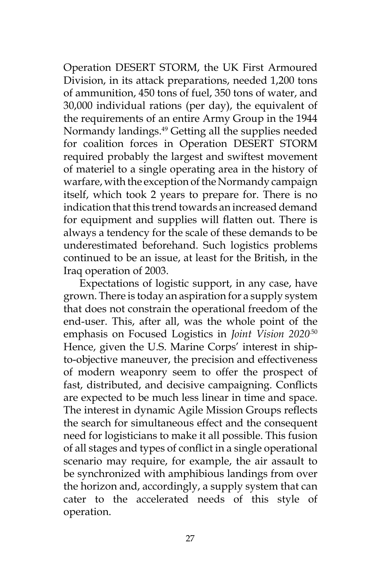Operation DESERT STORM, the UK First Armoured Division, in its attack preparations, needed 1,200 tons of ammunition, 450 tons of fuel, 350 tons of water, and 30,000 individual rations (per day), the equivalent of the requirements of an entire Army Group in the 1944 Normandy landings.49 Getting all the supplies needed for coalition forces in Operation DESERT STORM required probably the largest and swiftest movement of materiel to a single operating area in the history of warfare, with the exception of the Normandy campaign itself, which took 2 years to prepare for. There is no indication that this trend towards an increased demand for equipment and supplies will flatten out. There is always a tendency for the scale of these demands to be underestimated beforehand. Such logistics problems continued to be an issue, at least for the British, in the Iraq operation of 2003.

Expectations of logistic support, in any case, have grown. There is today an aspiration for a supply system that does not constrain the operational freedom of the end-user. This, after all, was the whole point of the emphasis on Focused Logistics in *Joint Vision 2020<sup>50</sup>* Hence, given the U.S. Marine Corps' interest in shipto-objective maneuver, the precision and effectiveness of modern weaponry seem to offer the prospect of fast, distributed, and decisive campaigning. Conflicts are expected to be much less linear in time and space. The interest in dynamic Agile Mission Groups reflects the search for simultaneous effect and the consequent need for logisticians to make it all possible. This fusion of all stages and types of conflict in a single operational scenario may require, for example, the air assault to be synchronized with amphibious landings from over the horizon and, accordingly, a supply system that can cater to the accelerated needs of this style of operation.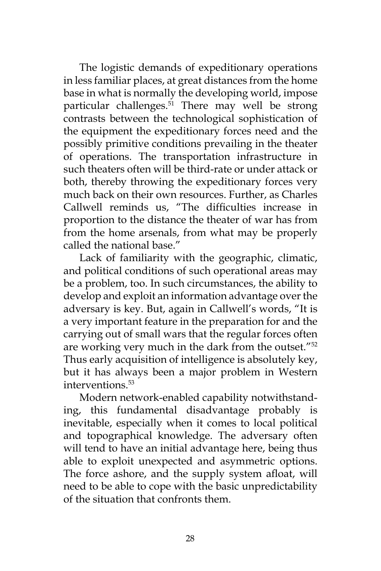The logistic demands of expeditionary operations in less familiar places, at great distances from the home base in what is normally the developing world, impose particular challenges.<sup>51</sup> There may well be strong contrasts between the technological sophistication of the equipment the expeditionary forces need and the possibly primitive conditions prevailing in the theater of operations. The transportation infrastructure in such theaters often will be third-rate or under attack or both, thereby throwing the expeditionary forces very much back on their own resources. Further, as Charles Callwell reminds us, "The difficulties increase in proportion to the distance the theater of war has from from the home arsenals, from what may be properly called the national base."

Lack of familiarity with the geographic, climatic, and political conditions of such operational areas may be a problem, too. In such circumstances, the ability to develop and exploit an information advantage over the adversary is key. But, again in Callwell's words, "It is a very important feature in the preparation for and the carrying out of small wars that the regular forces often are working very much in the dark from the outset."52 Thus early acquisition of intelligence is absolutely key, but it has always been a major problem in Western interventions.53

Modern network-enabled capability notwithstanding, this fundamental disadvantage probably is inevitable, especially when it comes to local political and topographical knowledge. The adversary often will tend to have an initial advantage here, being thus able to exploit unexpected and asymmetric options. The force ashore, and the supply system afloat, will need to be able to cope with the basic unpredictability of the situation that confronts them.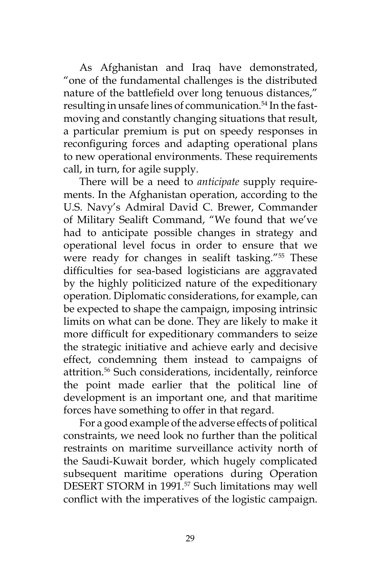As Afghanistan and Iraq have demonstrated, "one of the fundamental challenges is the distributed nature of the battlefield over long tenuous distances," resulting in unsafe lines of communication.<sup>54</sup> In the fastmoving and constantly changing situations that result, a particular premium is put on speedy responses in reconfiguring forces and adapting operational plans to new operational environments. These requirements call, in turn, for agile supply.

There will be a need to *anticipate* supply requirements. In the Afghanistan operation, according to the U.S. Navy's Admiral David C. Brewer, Commander of Military Sealift Command, "We found that we've had to anticipate possible changes in strategy and operational level focus in order to ensure that we were ready for changes in sealift tasking."<sup>55</sup> These difficulties for sea-based logisticians are aggravated by the highly politicized nature of the expeditionary operation. Diplomatic considerations, for example, can be expected to shape the campaign, imposing intrinsic limits on what can be done. They are likely to make it more difficult for expeditionary commanders to seize the strategic initiative and achieve early and decisive effect, condemning them instead to campaigns of attrition.<sup>56</sup> Such considerations, incidentally, reinforce the point made earlier that the political line of development is an important one, and that maritime forces have something to offer in that regard.

For a good example of the adverse effects of political constraints, we need look no further than the political restraints on maritime surveillance activity north of the Saudi-Kuwait border, which hugely complicated subsequent maritime operations during Operation DESERT STORM in 1991.<sup>57</sup> Such limitations may well conflict with the imperatives of the logistic campaign.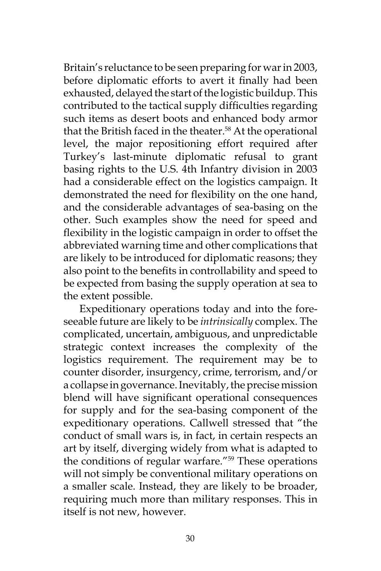Britain's reluctance to be seen preparing for war in 2003, before diplomatic efforts to avert it finally had been exhausted, delayed the start of the logistic buildup. This contributed to the tactical supply difficulties regarding such items as desert boots and enhanced body armor that the British faced in the theater.<sup>58</sup> At the operational level, the major repositioning effort required after Turkey's last-minute diplomatic refusal to grant basing rights to the U.S. 4th Infantry division in 2003 had a considerable effect on the logistics campaign. It demonstrated the need for flexibility on the one hand, and the considerable advantages of sea-basing on the other. Such examples show the need for speed and flexibility in the logistic campaign in order to offset the abbreviated warning time and other complications that are likely to be introduced for diplomatic reasons; they also point to the benefits in controllability and speed to be expected from basing the supply operation at sea to the extent possible.

Expeditionary operations today and into the foreseeable future are likely to be *intrinsically* complex. The complicated, uncertain, ambiguous, and unpredictable strategic context increases the complexity of the logistics requirement. The requirement may be to counter disorder, insurgency, crime, terrorism, and/or a collapse in governance. Inevitably, the precise mission blend will have significant operational consequences for supply and for the sea-basing component of the expeditionary operations. Callwell stressed that "the conduct of small wars is, in fact, in certain respects an art by itself, diverging widely from what is adapted to the conditions of regular warfare."59 These operations will not simply be conventional military operations on a smaller scale. Instead, they are likely to be broader, requiring much more than military responses. This in itself is not new, however.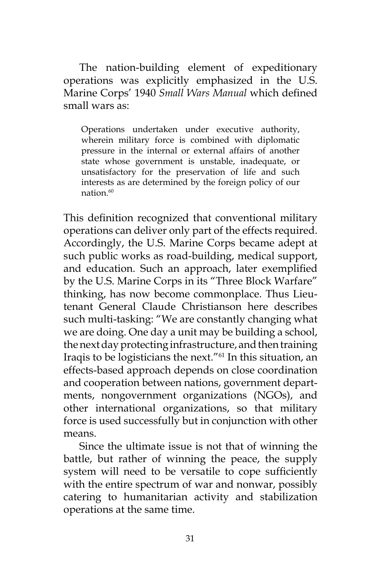The nation-building element of expeditionary operations was explicitly emphasized in the U.S. Marine Corps' 1940 *Small Wars Manual* which defined small wars as:

Operations undertaken under executive authority, wherein military force is combined with diplomatic pressure in the internal or external affairs of another state whose government is unstable, inadequate, or unsatisfactory for the preservation of life and such interests as are determined by the foreign policy of our nation $60$ 

This definition recognized that conventional military operations can deliver only part of the effects required. Accordingly, the U.S. Marine Corps became adept at such public works as road-building, medical support, and education. Such an approach, later exemplified by the U.S. Marine Corps in its "Three Block Warfare" thinking, has now become commonplace. Thus Lieutenant General Claude Christianson here describes such multi-tasking: "We are constantly changing what we are doing. One day a unit may be building a school, the next day protecting infrastructure, and then training Iraqis to be logisticians the next."61 In this situation, an effects-based approach depends on close coordination and cooperation between nations, government departments, nongovernment organizations (NGOs), and other international organizations, so that military force is used successfully but in conjunction with other means.

Since the ultimate issue is not that of winning the battle, but rather of winning the peace, the supply system will need to be versatile to cope sufficiently with the entire spectrum of war and nonwar, possibly catering to humanitarian activity and stabilization operations at the same time.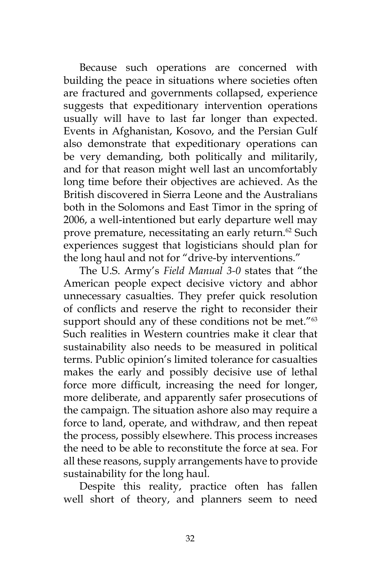Because such operations are concerned with building the peace in situations where societies often are fractured and governments collapsed, experience suggests that expeditionary intervention operations usually will have to last far longer than expected. Events in Afghanistan, Kosovo, and the Persian Gulf also demonstrate that expeditionary operations can be very demanding, both politically and militarily, and for that reason might well last an uncomfortably long time before their objectives are achieved. As the British discovered in Sierra Leone and the Australians both in the Solomons and East Timor in the spring of 2006, a well-intentioned but early departure well may prove premature, necessitating an early return.<sup>62</sup> Such experiences suggest that logisticians should plan for the long haul and not for "drive-by interventions."

The U.S. Army's *Field Manual 3-0* states that "the American people expect decisive victory and abhor unnecessary casualties. They prefer quick resolution of conflicts and reserve the right to reconsider their support should any of these conditions not be met."<sup>63</sup> Such realities in Western countries make it clear that sustainability also needs to be measured in political terms. Public opinion's limited tolerance for casualties makes the early and possibly decisive use of lethal force more difficult, increasing the need for longer, more deliberate, and apparently safer prosecutions of the campaign. The situation ashore also may require a force to land, operate, and withdraw, and then repeat the process, possibly elsewhere. This process increases the need to be able to reconstitute the force at sea. For all these reasons, supply arrangements have to provide sustainability for the long haul.

Despite this reality, practice often has fallen well short of theory, and planners seem to need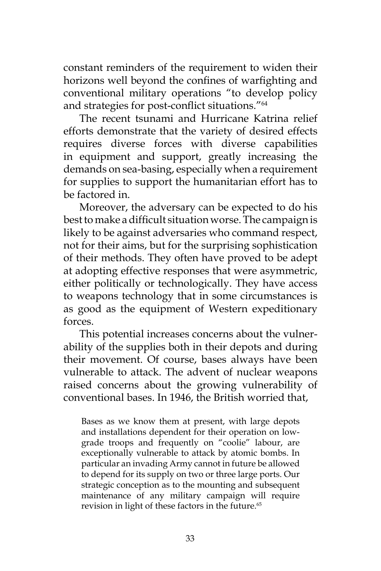constant reminders of the requirement to widen their horizons well beyond the confines of warfighting and conventional military operations "to develop policy and strategies for post-conflict situations."<sup>64</sup>

The recent tsunami and Hurricane Katrina relief efforts demonstrate that the variety of desired effects requires diverse forces with diverse capabilities in equipment and support, greatly increasing the demands on sea-basing, especially when a requirement for supplies to support the humanitarian effort has to be factored in.

Moreover, the adversary can be expected to do his best to make a difficult situation worse. The campaign is likely to be against adversaries who command respect, not for their aims, but for the surprising sophistication of their methods. They often have proved to be adept at adopting effective responses that were asymmetric, either politically or technologically. They have access to weapons technology that in some circumstances is as good as the equipment of Western expeditionary forces.

This potential increases concerns about the vulnerability of the supplies both in their depots and during their movement. Of course, bases always have been vulnerable to attack. The advent of nuclear weapons raised concerns about the growing vulnerability of conventional bases. In 1946, the British worried that,

Bases as we know them at present, with large depots and installations dependent for their operation on lowgrade troops and frequently on "coolie" labour, are exceptionally vulnerable to attack by atomic bombs. In particular an invading Army cannot in future be allowed to depend for its supply on two or three large ports. Our strategic conception as to the mounting and subsequent maintenance of any military campaign will require revision in light of these factors in the future.<sup>65</sup>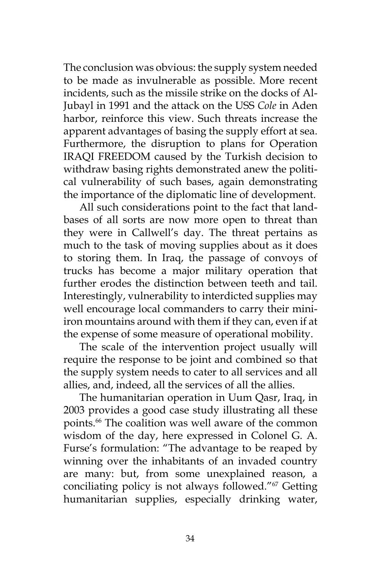The conclusion was obvious: the supply system needed to be made as invulnerable as possible. More recent incidents, such as the missile strike on the docks of Al-Jubayl in 1991 and the attack on the USS *Cole* in Aden harbor, reinforce this view. Such threats increase the apparent advantages of basing the supply effort at sea. Furthermore, the disruption to plans for Operation IRAQI FREEDOM caused by the Turkish decision to withdraw basing rights demonstrated anew the political vulnerability of such bases, again demonstrating the importance of the diplomatic line of development.

All such considerations point to the fact that landbases of all sorts are now more open to threat than they were in Callwell's day. The threat pertains as much to the task of moving supplies about as it does to storing them. In Iraq, the passage of convoys of trucks has become a major military operation that further erodes the distinction between teeth and tail. Interestingly, vulnerability to interdicted supplies may well encourage local commanders to carry their miniiron mountains around with them if they can, even if at the expense of some measure of operational mobility.

The scale of the intervention project usually will require the response to be joint and combined so that the supply system needs to cater to all services and all allies, and, indeed, all the services of all the allies.

The humanitarian operation in Uum Qasr, Iraq, in 2003 provides a good case study illustrating all these points.66 The coalition was well aware of the common wisdom of the day, here expressed in Colonel G. A. Furse's formulation: "The advantage to be reaped by winning over the inhabitants of an invaded country are many: but, from some unexplained reason, a conciliating policy is not always followed."67 Getting humanitarian supplies, especially drinking water,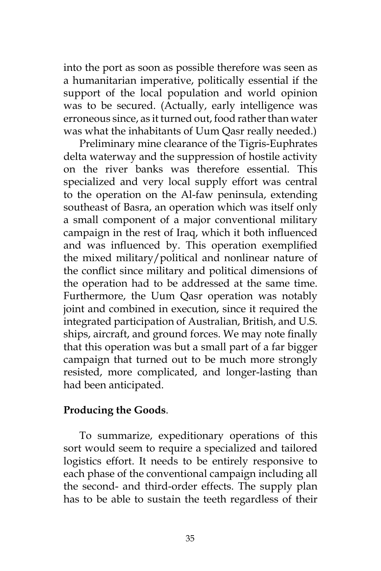into the port as soon as possible therefore was seen as a humanitarian imperative, politically essential if the support of the local population and world opinion was to be secured. (Actually, early intelligence was erroneous since, as it turned out, food rather than water was what the inhabitants of Uum Qasr really needed.)

Preliminary mine clearance of the Tigris-Euphrates delta waterway and the suppression of hostile activity on the river banks was therefore essential. This specialized and very local supply effort was central to the operation on the Al-faw peninsula, extending southeast of Basra, an operation which was itself only a small component of a major conventional military campaign in the rest of Iraq, which it both influenced and was influenced by. This operation exemplified the mixed military/political and nonlinear nature of the conflict since military and political dimensions of the operation had to be addressed at the same time. Furthermore, the Uum Qasr operation was notably joint and combined in execution, since it required the integrated participation of Australian, British, and U.S. ships, aircraft, and ground forces. We may note finally that this operation was but a small part of a far bigger campaign that turned out to be much more strongly resisted, more complicated, and longer-lasting than had been anticipated.

## **Producing the Goods**.

To summarize, expeditionary operations of this sort would seem to require a specialized and tailored logistics effort. It needs to be entirely responsive to each phase of the conventional campaign including all the second- and third-order effects. The supply plan has to be able to sustain the teeth regardless of their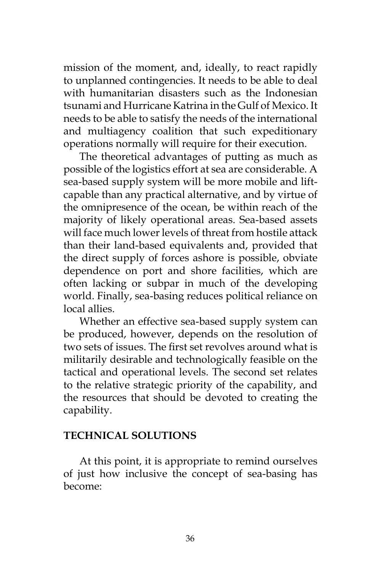mission of the moment, and, ideally, to react rapidly to unplanned contingencies. It needs to be able to deal with humanitarian disasters such as the Indonesian tsunami and Hurricane Katrina in the Gulf of Mexico. It needs to be able to satisfy the needs of the international and multiagency coalition that such expeditionary operations normally will require for their execution.

The theoretical advantages of putting as much as possible of the logistics effort at sea are considerable. A sea-based supply system will be more mobile and liftcapable than any practical alternative, and by virtue of the omnipresence of the ocean, be within reach of the majority of likely operational areas. Sea-based assets will face much lower levels of threat from hostile attack than their land-based equivalents and, provided that the direct supply of forces ashore is possible, obviate dependence on port and shore facilities, which are often lacking or subpar in much of the developing world. Finally, sea-basing reduces political reliance on local allies.

Whether an effective sea-based supply system can be produced, however, depends on the resolution of two sets of issues. The first set revolves around what is militarily desirable and technologically feasible on the tactical and operational levels. The second set relates to the relative strategic priority of the capability, and the resources that should be devoted to creating the capability.

## **TECHNICAL SOLUTIONS**

At this point, it is appropriate to remind ourselves of just how inclusive the concept of sea-basing has become: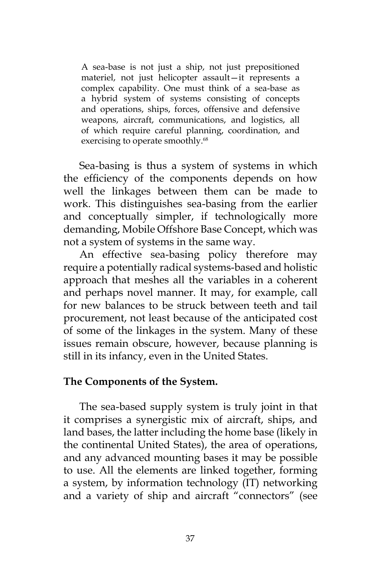A sea-base is not just a ship, not just prepositioned materiel, not just helicopter assault—it represents a complex capability. One must think of a sea-base as a hybrid system of systems consisting of concepts and operations, ships, forces, offensive and defensive weapons, aircraft, communications, and logistics, all of which require careful planning, coordination, and exercising to operate smoothly.<sup>68</sup>

Sea-basing is thus a system of systems in which the efficiency of the components depends on how well the linkages between them can be made to work. This distinguishes sea-basing from the earlier and conceptually simpler, if technologically more demanding, Mobile Offshore Base Concept, which was not a system of systems in the same way.

An effective sea-basing policy therefore may require a potentially radical systems-based and holistic approach that meshes all the variables in a coherent and perhaps novel manner. It may, for example, call for new balances to be struck between teeth and tail procurement, not least because of the anticipated cost of some of the linkages in the system. Many of these issues remain obscure, however, because planning is still in its infancy, even in the United States.

## **The Components of the System.**

The sea-based supply system is truly joint in that it comprises a synergistic mix of aircraft, ships, and land bases, the latter including the home base (likely in the continental United States), the area of operations, and any advanced mounting bases it may be possible to use. All the elements are linked together, forming a system, by information technology (IT) networking and a variety of ship and aircraft "connectors" (see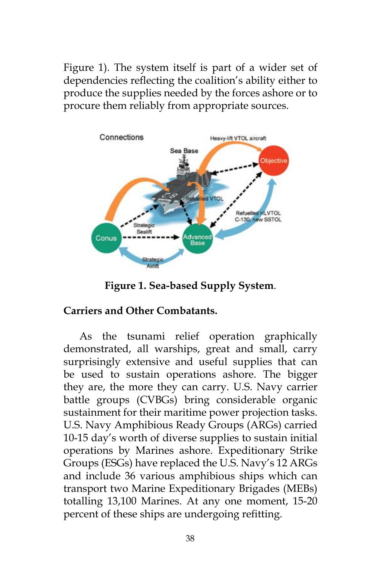Figure 1). The system itself is part of a wider set of dependencies reflecting the coalition's ability either to produce the supplies needed by the forces ashore or to procure them reliably from appropriate sources.



**Figure 1. Sea-based Supply System**.

# **Carriers and Other Combatants.**

As the tsunami relief operation graphically demonstrated, all warships, great and small, carry surprisingly extensive and useful supplies that can be used to sustain operations ashore. The bigger they are, the more they can carry. U.S. Navy carrier battle groups (CVBGs) bring considerable organic sustainment for their maritime power projection tasks. U.S. Navy Amphibious Ready Groups (ARGs) carried 10-15 day's worth of diverse supplies to sustain initial operations by Marines ashore. Expeditionary Strike Groups (ESGs) have replaced the U.S. Navy's 12 ARGs and include 36 various amphibious ships which can transport two Marine Expeditionary Brigades (MEBs) totalling 13,100 Marines. At any one moment, 15-20 percent of these ships are undergoing refitting.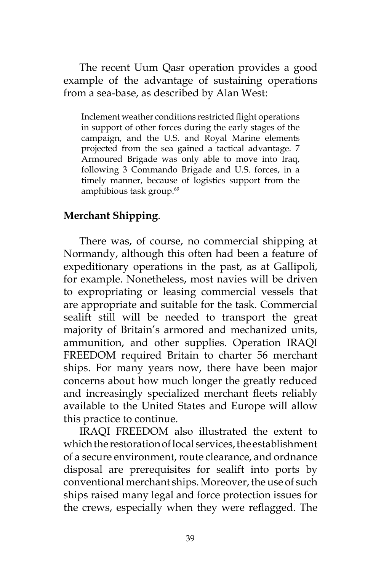The recent Uum Qasr operation provides a good example of the advantage of sustaining operations from a sea-base, as described by Alan West:

Inclement weather conditions restricted flight operations in support of other forces during the early stages of the campaign, and the U.S. and Royal Marine elements projected from the sea gained a tactical advantage. 7 Armoured Brigade was only able to move into Iraq, following 3 Commando Brigade and U.S. forces, in a timely manner, because of logistics support from the amphibious task group.<sup>69</sup>

## **Merchant Shipping**.

There was, of course, no commercial shipping at Normandy, although this often had been a feature of expeditionary operations in the past, as at Gallipoli, for example. Nonetheless, most navies will be driven to expropriating or leasing commercial vessels that are appropriate and suitable for the task. Commercial sealift still will be needed to transport the great majority of Britain's armored and mechanized units, ammunition, and other supplies. Operation IRAQI FREEDOM required Britain to charter 56 merchant ships. For many years now, there have been major concerns about how much longer the greatly reduced and increasingly specialized merchant fleets reliably available to the United States and Europe will allow this practice to continue.

IRAQI FREEDOM also illustrated the extent to which the restoration of local services, the establishment of a secure environment, route clearance, and ordnance disposal are prerequisites for sealift into ports by conventional merchant ships. Moreover, the use of such ships raised many legal and force protection issues for the crews, especially when they were reflagged. The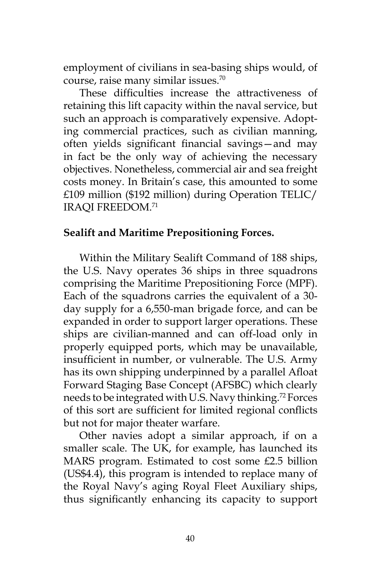employment of civilians in sea-basing ships would, of course, raise many similar issues.70

These difficulties increase the attractiveness of retaining this lift capacity within the naval service, but such an approach is comparatively expensive. Adopting commercial practices, such as civilian manning, often yields significant financial savings—and may in fact be the only way of achieving the necessary objectives. Nonetheless, commercial air and sea freight costs money. In Britain's case, this amounted to some £109 million (\$192 million) during Operation TELIC/ IRAQI FREEDOM.<sup>71</sup>

## **Sealift and Maritime Prepositioning Forces.**

Within the Military Sealift Command of 188 ships, the U.S. Navy operates 36 ships in three squadrons comprising the Maritime Prepositioning Force (MPF). Each of the squadrons carries the equivalent of a 30 day supply for a 6,550-man brigade force, and can be expanded in order to support larger operations. These ships are civilian-manned and can off-load only in properly equipped ports, which may be unavailable, insufficient in number, or vulnerable. The U.S. Army has its own shipping underpinned by a parallel Afloat Forward Staging Base Concept (AFSBC) which clearly needs to be integrated with U.S. Navy thinking.72 Forces of this sort are sufficient for limited regional conflicts but not for major theater warfare.

Other navies adopt a similar approach, if on a smaller scale. The UK, for example, has launched its MARS program. Estimated to cost some £2.5 billion (US\$4.4), this program is intended to replace many of the Royal Navy's aging Royal Fleet Auxiliary ships, thus significantly enhancing its capacity to support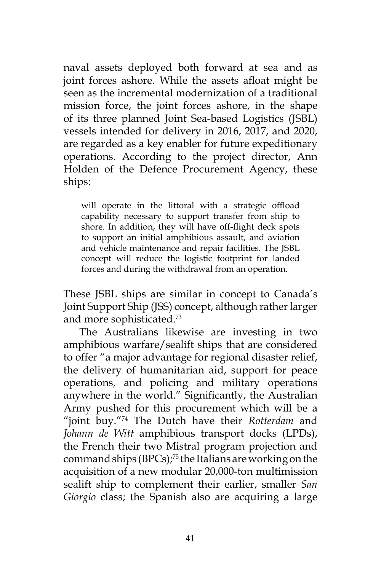naval assets deployed both forward at sea and as joint forces ashore. While the assets afloat might be seen as the incremental modernization of a traditional mission force, the joint forces ashore, in the shape of its three planned Joint Sea-based Logistics (JSBL) vessels intended for delivery in 2016, 2017, and 2020, are regarded as a key enabler for future expeditionary operations. According to the project director, Ann Holden of the Defence Procurement Agency, these ships:

will operate in the littoral with a strategic offload capability necessary to support transfer from ship to shore. In addition, they will have off-flight deck spots to support an initial amphibious assault, and aviation and vehicle maintenance and repair facilities. The JSBL concept will reduce the logistic footprint for landed forces and during the withdrawal from an operation.

These JSBL ships are similar in concept to Canada's Joint Support Ship (JSS) concept, although rather larger and more sophisticated.73

The Australians likewise are investing in two amphibious warfare/sealift ships that are considered to offer "a major advantage for regional disaster relief, the delivery of humanitarian aid, support for peace operations, and policing and military operations anywhere in the world." Significantly, the Australian Army pushed for this procurement which will be a "joint buy."74 The Dutch have their *Rotterdam* and *Johann de Witt* amphibious transport docks (LPDs), the French their two Mistral program projection and command ships (BPCs);75 the Italians are working on the acquisition of a new modular 20,000-ton multimission sealift ship to complement their earlier, smaller *San Giorgio* class; the Spanish also are acquiring a large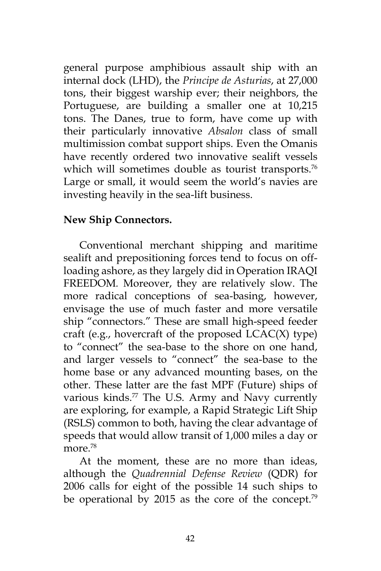general purpose amphibious assault ship with an internal dock (LHD), the *Principe de Asturias*, at 27,000 tons, their biggest warship ever; their neighbors, the Portuguese, are building a smaller one at 10,215 tons. The Danes, true to form, have come up with their particularly innovative *Absalon* class of small multimission combat support ships. Even the Omanis have recently ordered two innovative sealift vessels which will sometimes double as tourist transports.<sup>76</sup> Large or small, it would seem the world's navies are investing heavily in the sea-lift business.

## **New Ship Connectors.**

Conventional merchant shipping and maritime sealift and prepositioning forces tend to focus on offloading ashore, as they largely did in Operation IRAQI FREEDOM*.* Moreover, they are relatively slow. The more radical conceptions of sea-basing, however, envisage the use of much faster and more versatile ship "connectors." These are small high-speed feeder craft (e.g., hovercraft of the proposed  $LCAC(X)$  type) to "connect" the sea-base to the shore on one hand, and larger vessels to "connect" the sea-base to the home base or any advanced mounting bases, on the other. These latter are the fast MPF (Future) ships of various kinds. $77$  The U.S. Army and Navy currently are exploring, for example, a Rapid Strategic Lift Ship (RSLS) common to both, having the clear advantage of speeds that would allow transit of 1,000 miles a day or more.<sup>78</sup>

At the moment, these are no more than ideas, although the *Quadrennial Defense Review* (QDR) for 2006 calls for eight of the possible 14 such ships to be operational by 2015 as the core of the concept.<sup>79</sup>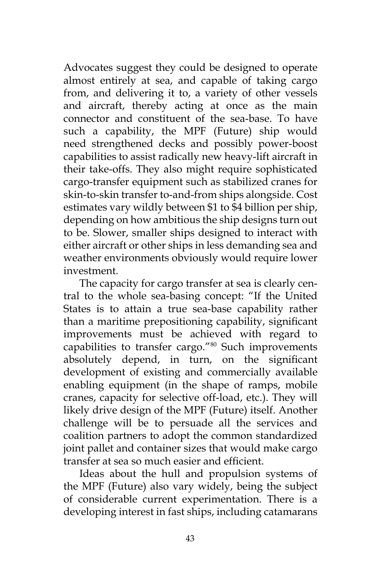Advocates suggest they could be designed to operate almost entirely at sea, and capable of taking cargo from, and delivering it to, a variety of other vessels and aircraft, thereby acting at once as the main connector and constituent of the sea-base. To have such a capability, the MPF (Future) ship would need strengthened decks and possibly power-boost capabilities to assist radically new heavy-lift aircraft in their take-offs. They also might require sophisticated cargo-transfer equipment such as stabilized cranes for skin-to-skin transfer to-and-from ships alongside. Cost estimates vary wildly between \$1 to \$4 billion per ship, depending on how ambitious the ship designs turn out to be. Slower, smaller ships designed to interact with either aircraft or other ships in less demanding sea and weather environments obviously would require lower investment.

The capacity for cargo transfer at sea is clearly central to the whole sea-basing concept: "If the United States is to attain a true sea-base capability rather than a maritime prepositioning capability, significant improvements must be achieved with regard to capabilities to transfer cargo."<sup>80</sup> Such improvements absolutely depend, in turn, on the significant development of existing and commercially available enabling equipment (in the shape of ramps, mobile cranes, capacity for selective off-load, etc.). They will likely drive design of the MPF (Future) itself. Another challenge will be to persuade all the services and coalition partners to adopt the common standardized joint pallet and container sizes that would make cargo transfer at sea so much easier and efficient.

Ideas about the hull and propulsion systems of the MPF (Future) also vary widely, being the subject of considerable current experimentation. There is a developing interest in fast ships, including catamarans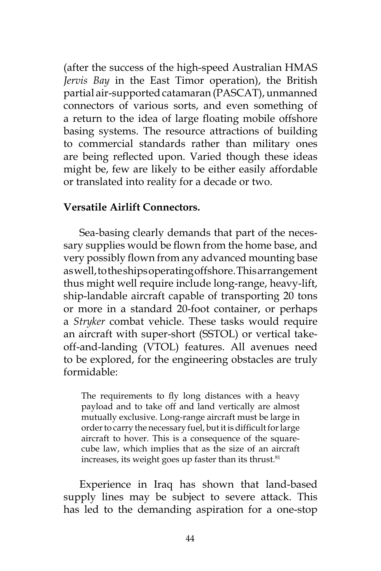(after the success of the high-speed Australian HMAS *Jervis Bay* in the East Timor operation), the British partial air-supported catamaran (PASCAT), unmanned connectors of various sorts, and even something of a return to the idea of large floating mobile offshore basing systems. The resource attractions of building to commercial standards rather than military ones are being reflected upon. Varied though these ideas might be, few are likely to be either easily affordable or translated into reality for a decade or two.

#### **Versatile Airlift Connectors.**

Sea-basing clearly demands that part of the necessary supplies would be flown from the home base, and very possibly flown from any advanced mounting base as well, to the ships operating offshore. This arrangement thus might well require include long-range, heavy-lift, ship-landable aircraft capable of transporting 20 tons or more in a standard 20-foot container, or perhaps a *Stryker* combat vehicle. These tasks would require an aircraft with super-short (SSTOL) or vertical takeoff-and-landing (VTOL) features. All avenues need to be explored, for the engineering obstacles are truly formidable:

The requirements to fly long distances with a heavy payload and to take off and land vertically are almost mutually exclusive. Long-range aircraft must be large in order to carry the necessary fuel, but it is difficult for large aircraft to hover. This is a consequence of the squarecube law, which implies that as the size of an aircraft increases, its weight goes up faster than its thrust. $81$ 

Experience in Iraq has shown that land-based supply lines may be subject to severe attack. This has led to the demanding aspiration for a one-stop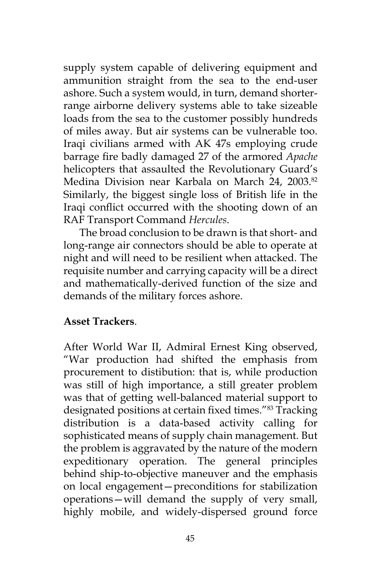supply system capable of delivering equipment and ammunition straight from the sea to the end-user ashore. Such a system would, in turn, demand shorterrange airborne delivery systems able to take sizeable loads from the sea to the customer possibly hundreds of miles away. But air systems can be vulnerable too. Iraqi civilians armed with AK 47s employing crude barrage fire badly damaged 27 of the armored *Apache* helicopters that assaulted the Revolutionary Guard's Medina Division near Karbala on March 24, 2003.<sup>82</sup> Similarly, the biggest single loss of British life in the Iraqi conflict occurred with the shooting down of an RAF Transport Command *Hercules*.

The broad conclusion to be drawn is that short- and long-range air connectors should be able to operate at night and will need to be resilient when attacked. The requisite number and carrying capacity will be a direct and mathematically-derived function of the size and demands of the military forces ashore.

## **Asset Trackers**.

After World War II, Admiral Ernest King observed, "War production had shifted the emphasis from procurement to distibution: that is, while production was still of high importance, a still greater problem was that of getting well-balanced material support to designated positions at certain fixed times."83 Tracking distribution is a data-based activity calling for sophisticated means of supply chain management. But the problem is aggravated by the nature of the modern expeditionary operation. The general principles behind ship-to-objective maneuver and the emphasis on local engagement—preconditions for stabilization operations—will demand the supply of very small, highly mobile, and widely-dispersed ground force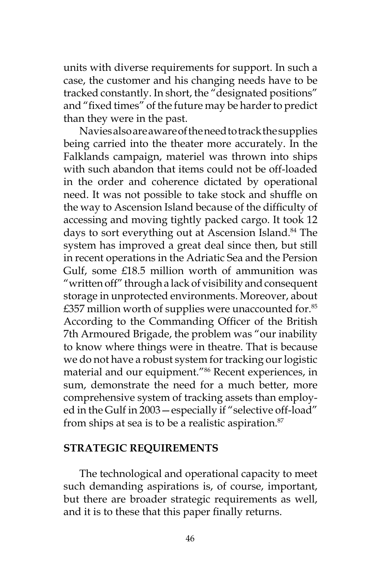units with diverse requirements for support. In such a case, the customer and his changing needs have to be tracked constantly. In short, the "designated positions" and "fixed times" of the future may be harder to predict than they were in the past.

Navies also are aware of the need to track the supplies being carried into the theater more accurately. In the Falklands campaign, materiel was thrown into ships with such abandon that items could not be off-loaded in the order and coherence dictated by operational need. It was not possible to take stock and shuffle on the way to Ascension Island because of the difficulty of accessing and moving tightly packed cargo. It took 12 days to sort everything out at Ascension Island.<sup>84</sup> The system has improved a great deal since then, but still in recent operations in the Adriatic Sea and the Persion Gulf, some £18.5 million worth of ammunition was "written off" through a lack of visibility and consequent storage in unprotected environments. Moreover, about  $£357$  million worth of supplies were unaccounted for.<sup>85</sup> According to the Commanding Officer of the British 7th Armoured Brigade, the problem was "our inability to know where things were in theatre. That is because we do not have a robust system for tracking our logistic material and our equipment."86 Recent experiences, in sum, demonstrate the need for a much better, more comprehensive system of tracking assets than employed in the Gulf in 2003—especially if "selective off-load" from ships at sea is to be a realistic aspiration.<sup>87</sup>

#### **STRATEGIC REQUIREMENTS**

The technological and operational capacity to meet such demanding aspirations is, of course, important, but there are broader strategic requirements as well, and it is to these that this paper finally returns.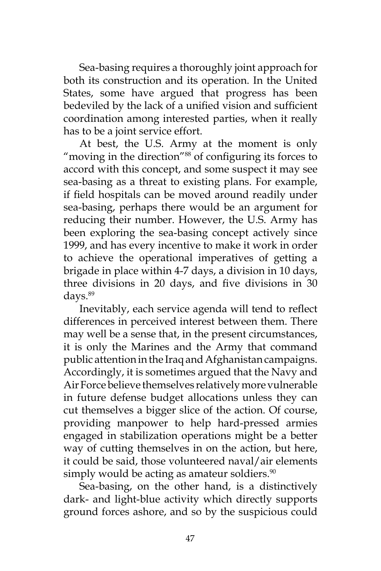Sea-basing requires a thoroughly joint approach for both its construction and its operation. In the United States, some have argued that progress has been bedeviled by the lack of a unified vision and sufficient coordination among interested parties, when it really has to be a joint service effort.

At best, the U.S. Army at the moment is only "moving in the direction"<sup>88</sup> of configuring its forces to accord with this concept, and some suspect it may see sea-basing as a threat to existing plans. For example, if field hospitals can be moved around readily under sea-basing, perhaps there would be an argument for reducing their number. However, the U.S. Army has been exploring the sea-basing concept actively since 1999, and has every incentive to make it work in order to achieve the operational imperatives of getting a brigade in place within 4-7 days, a division in 10 days, three divisions in 20 days, and five divisions in 30 days.89

Inevitably, each service agenda will tend to reflect differences in perceived interest between them. There may well be a sense that, in the present circumstances, it is only the Marines and the Army that command public attention in the Iraq and Afghanistan campaigns. Accordingly, it is sometimes argued that the Navy and Air Force believe themselves relatively more vulnerable in future defense budget allocations unless they can cut themselves a bigger slice of the action. Of course, providing manpower to help hard-pressed armies engaged in stabilization operations might be a better way of cutting themselves in on the action, but here, it could be said, those volunteered naval/air elements simply would be acting as amateur soldiers.<sup>90</sup>

Sea-basing, on the other hand, is a distinctively dark- and light-blue activity which directly supports ground forces ashore, and so by the suspicious could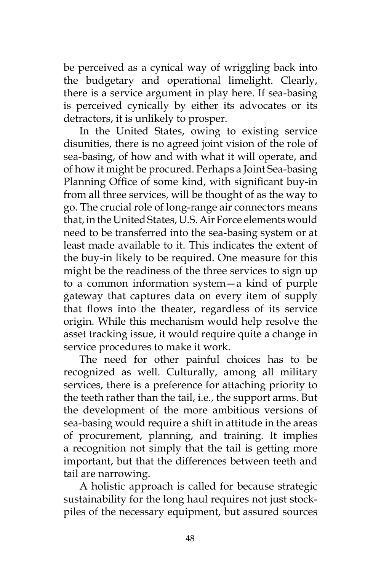be perceived as a cynical way of wriggling back into the budgetary and operational limelight. Clearly, there is a service argument in play here. If sea-basing is perceived cynically by either its advocates or its detractors, it is unlikely to prosper.

In the United States, owing to existing service disunities, there is no agreed joint vision of the role of sea-basing, of how and with what it will operate, and of how it might be procured. Perhaps a Joint Sea-basing Planning Office of some kind, with significant buy-in from all three services, will be thought of as the way to go. The crucial role of long-range air connectors means that, in the United States, U.S. Air Force elements would need to be transferred into the sea-basing system or at least made available to it. This indicates the extent of the buy-in likely to be required. One measure for this might be the readiness of the three services to sign up to a common information system—a kind of purple gateway that captures data on every item of supply that flows into the theater, regardless of its service origin. While this mechanism would help resolve the asset tracking issue, it would require quite a change in service procedures to make it work.

The need for other painful choices has to be recognized as well. Culturally, among all military services, there is a preference for attaching priority to the teeth rather than the tail, i.e., the support arms. But the development of the more ambitious versions of sea-basing would require a shift in attitude in the areas of procurement, planning, and training. It implies a recognition not simply that the tail is getting more important, but that the differences between teeth and tail are narrowing.

A holistic approach is called for because strategic sustainability for the long haul requires not just stockpiles of the necessary equipment, but assured sources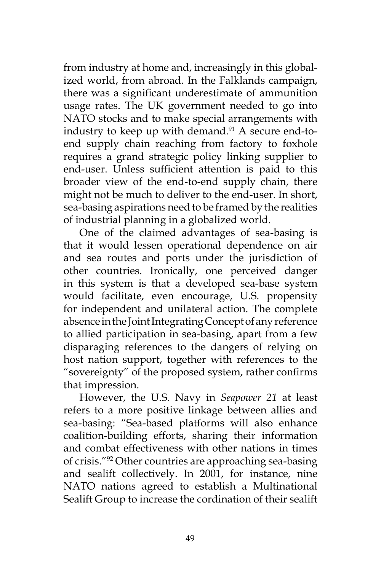from industry at home and, increasingly in this globalized world, from abroad. In the Falklands campaign, there was a significant underestimate of ammunition usage rates. The UK government needed to go into NATO stocks and to make special arrangements with industry to keep up with demand. $91$  A secure end-toend supply chain reaching from factory to foxhole requires a grand strategic policy linking supplier to end-user. Unless sufficient attention is paid to this broader view of the end-to-end supply chain, there might not be much to deliver to the end-user. In short, sea-basing aspirations need to be framed by the realities of industrial planning in a globalized world.

One of the claimed advantages of sea-basing is that it would lessen operational dependence on air and sea routes and ports under the jurisdiction of other countries. Ironically, one perceived danger in this system is that a developed sea-base system would facilitate, even encourage, U.S. propensity for independent and unilateral action. The complete absence in the Joint Integrating Concept of any reference to allied participation in sea-basing, apart from a few disparaging references to the dangers of relying on host nation support, together with references to the "sovereignty" of the proposed system, rather confirms that impression.

However, the U.S. Navy in *Seapower 21* at least refers to a more positive linkage between allies and sea-basing: "Sea-based platforms will also enhance coalition-building efforts, sharing their information and combat effectiveness with other nations in times of crisis."92 Other countries are approaching sea-basing and sealift collectively. In 2001, for instance, nine NATO nations agreed to establish a Multinational Sealift Group to increase the cordination of their sealift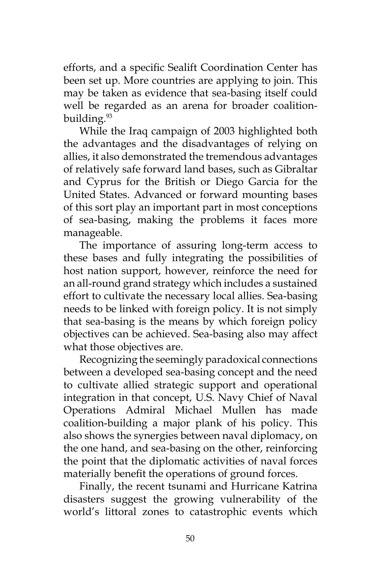efforts, and a specific Sealift Coordination Center has been set up. More countries are applying to join. This may be taken as evidence that sea-basing itself could well be regarded as an arena for broader coalitionbuilding.93

While the Iraq campaign of 2003 highlighted both the advantages and the disadvantages of relying on allies, it also demonstrated the tremendous advantages of relatively safe forward land bases, such as Gibraltar and Cyprus for the British or Diego Garcia for the United States. Advanced or forward mounting bases of this sort play an important part in most conceptions of sea-basing, making the problems it faces more manageable.

The importance of assuring long-term access to these bases and fully integrating the possibilities of host nation support, however, reinforce the need for an all-round grand strategy which includes a sustained effort to cultivate the necessary local allies. Sea-basing needs to be linked with foreign policy. It is not simply that sea-basing is the means by which foreign policy objectives can be achieved. Sea-basing also may affect what those objectives are.

Recognizing the seemingly paradoxical connections between a developed sea-basing concept and the need to cultivate allied strategic support and operational integration in that concept, U.S. Navy Chief of Naval Operations Admiral Michael Mullen has made coalition-building a major plank of his policy. This also shows the synergies between naval diplomacy, on the one hand, and sea-basing on the other, reinforcing the point that the diplomatic activities of naval forces materially benefit the operations of ground forces.

Finally, the recent tsunami and Hurricane Katrina disasters suggest the growing vulnerability of the world's littoral zones to catastrophic events which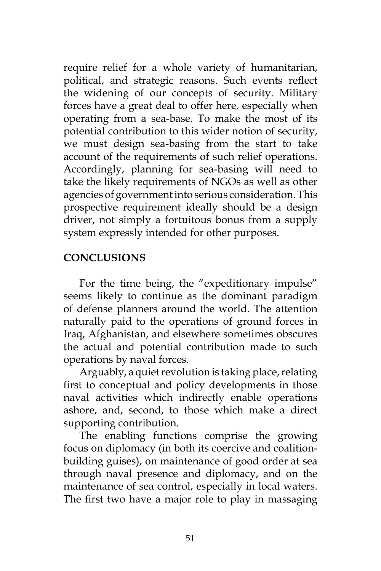require relief for a whole variety of humanitarian, political, and strategic reasons. Such events reflect the widening of our concepts of security. Military forces have a great deal to offer here, especially when operating from a sea-base. To make the most of its potential contribution to this wider notion of security, we must design sea-basing from the start to take account of the requirements of such relief operations. Accordingly, planning for sea-basing will need to take the likely requirements of NGOs as well as other agencies of government into serious consideration. This prospective requirement ideally should be a design driver, not simply a fortuitous bonus from a supply system expressly intended for other purposes.

# **CONCLUSIONS**

For the time being, the "expeditionary impulse" seems likely to continue as the dominant paradigm of defense planners around the world. The attention naturally paid to the operations of ground forces in Iraq, Afghanistan, and elsewhere sometimes obscures the actual and potential contribution made to such operations by naval forces.

Arguably, a quiet revolution is taking place, relating first to conceptual and policy developments in those naval activities which indirectly enable operations ashore, and, second, to those which make a direct supporting contribution.

The enabling functions comprise the growing focus on diplomacy (in both its coercive and coalitionbuilding guises), on maintenance of good order at sea through naval presence and diplomacy, and on the maintenance of sea control, especially in local waters. The first two have a major role to play in massaging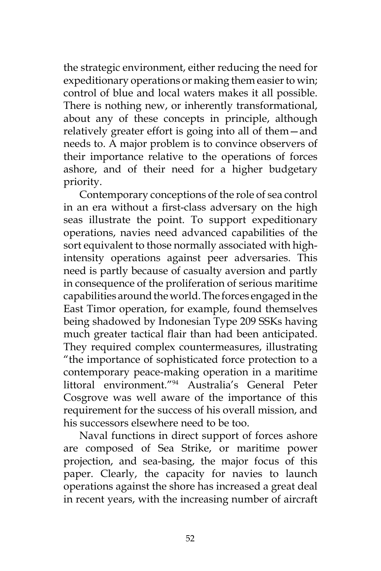the strategic environment, either reducing the need for expeditionary operations or making them easier to win; control of blue and local waters makes it all possible. There is nothing new, or inherently transformational, about any of these concepts in principle, although relatively greater effort is going into all of them—and needs to. A major problem is to convince observers of their importance relative to the operations of forces ashore, and of their need for a higher budgetary priority.

Contemporary conceptions of the role of sea control in an era without a first-class adversary on the high seas illustrate the point. To support expeditionary operations, navies need advanced capabilities of the sort equivalent to those normally associated with highintensity operations against peer adversaries. This need is partly because of casualty aversion and partly in consequence of the proliferation of serious maritime capabilities around the world. The forces engaged in the East Timor operation, for example, found themselves being shadowed by Indonesian Type 209 SSKs having much greater tactical flair than had been anticipated. They required complex countermeasures, illustrating "the importance of sophisticated force protection to a contemporary peace-making operation in a maritime littoral environment."94 Australia's General Peter Cosgrove was well aware of the importance of this requirement for the success of his overall mission, and his successors elsewhere need to be too.

Naval functions in direct support of forces ashore are composed of Sea Strike, or maritime power projection, and sea-basing, the major focus of this paper. Clearly, the capacity for navies to launch operations against the shore has increased a great deal in recent years, with the increasing number of aircraft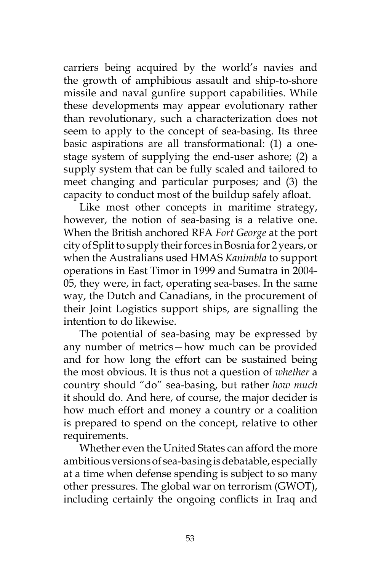carriers being acquired by the world's navies and the growth of amphibious assault and ship-to-shore missile and naval gunfire support capabilities. While these developments may appear evolutionary rather than revolutionary, such a characterization does not seem to apply to the concept of sea-basing. Its three basic aspirations are all transformational: (1) a onestage system of supplying the end-user ashore; (2) a supply system that can be fully scaled and tailored to meet changing and particular purposes; and (3) the capacity to conduct most of the buildup safely afloat.

Like most other concepts in maritime strategy, however, the notion of sea-basing is a relative one. When the British anchored RFA *Fort George* at the port city of Split to supply their forces in Bosnia for 2 years, or when the Australians used HMAS *Kanimbla* to support operations in East Timor in 1999 and Sumatra in 2004- 05, they were, in fact, operating sea-bases. In the same way, the Dutch and Canadians, in the procurement of their Joint Logistics support ships, are signalling the intention to do likewise.

The potential of sea-basing may be expressed by any number of metrics—how much can be provided and for how long the effort can be sustained being the most obvious. It is thus not a question of *whether* a country should "do" sea-basing, but rather *how much* it should do. And here, of course, the major decider is how much effort and money a country or a coalition is prepared to spend on the concept, relative to other requirements.

Whether even the United States can afford the more ambitious versions of sea-basing is debatable, especially at a time when defense spending is subject to so many other pressures. The global war on terrorism (GWOT), including certainly the ongoing conflicts in Iraq and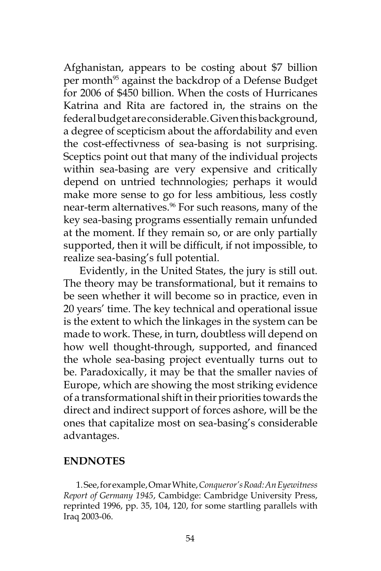Afghanistan, appears to be costing about \$7 billion per month<sup>95</sup> against the backdrop of a Defense Budget for 2006 of \$450 billion. When the costs of Hurricanes Katrina and Rita are factored in, the strains on the federal budget are considerable. Given this background, a degree of scepticism about the affordability and even the cost-effectivness of sea-basing is not surprising. Sceptics point out that many of the individual projects within sea-basing are very expensive and critically depend on untried technnologies; perhaps it would make more sense to go for less ambitious, less costly near-term alternatives.<sup>96</sup> For such reasons, many of the key sea-basing programs essentially remain unfunded at the moment. If they remain so, or are only partially supported, then it will be difficult, if not impossible, to realize sea-basing's full potential.

Evidently, in the United States, the jury is still out. The theory may be transformational, but it remains to be seen whether it will become so in practice, even in 20 years' time. The key technical and operational issue is the extent to which the linkages in the system can be made to work. These, in turn, doubtless will depend on how well thought-through, supported, and financed the whole sea-basing project eventually turns out to be. Paradoxically, it may be that the smaller navies of Europe, which are showing the most striking evidence of a transformational shift in their priorities towards the direct and indirect support of forces ashore, will be the ones that capitalize most on sea-basing's considerable advantages.

#### **ENDNOTES**

1. See, for example, Omar White, *Conqueror's Road: An Eyewitness Report of Germany 1945*, Cambidge: Cambridge University Press, reprinted 1996, pp. 35, 104, 120, for some startling parallels with Iraq 2003-06.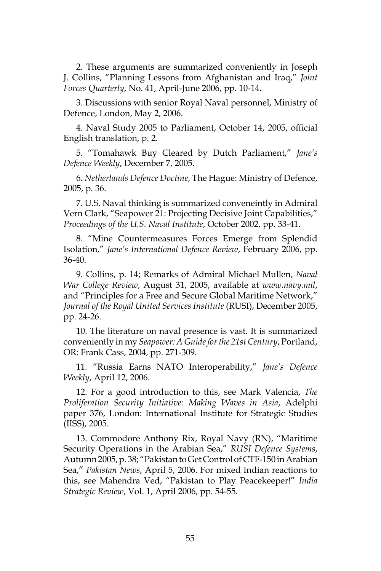2. These arguments are summarized conveniently in Joseph J. Collins, "Planning Lessons from Afghanistan and Iraq," *Joint Forces Quarterly*, No. 41, April-June 2006, pp. 10-14.

3. Discussions with senior Royal Naval personnel, Ministry of Defence, London, May 2, 2006.

4. Naval Study 2005 to Parliament, October 14, 2005, official English translation, p. 2.

5. "Tomahawk Buy Cleared by Dutch Parliament," *Jane's Defence Weekly*, December 7, 2005.

6. *Netherlands Defence Doctine*, The Hague: Ministry of Defence, 2005, p. 36.

7. U.S. Naval thinking is summarized conveneintly in Admiral Vern Clark, "Seapower 21: Projecting Decisive Joint Capabilities," *Proceedings of the U.S. Naval Institute*, October 2002, pp. 33-41.

8. "Mine Countermeasures Forces Emerge from Splendid Isolation," *Jane's International Defence Review*, February 2006, pp. 36-40.

9. Collins, p. 14; Remarks of Admiral Michael Mullen, *Naval War College Review*, August 31, 2005, available at *www.navy.mil*, and "Principles for a Free and Secure Global Maritime Network," *Journal of the Royal United Services Institute* (RUSI), December 2005, pp. 24-26.

10. The literature on naval presence is vast. It is summarized conveniently in my *Seapower: A Guide for the 21st Century*, Portland, OR: Frank Cass, 2004, pp. 271-309.

11. "Russia Earns NATO Interoperability," *Jane's Defence Weekly*, April 12, 2006.

12. For a good introduction to this, see Mark Valencia, *The Proliferation Security Initiative: Making Waves in Asia*, Adelphi paper 376, London: International Institute for Strategic Studies (IISS), 2005.

13. Commodore Anthony Rix, Royal Navy (RN), "Maritime Security Operations in the Arabian Sea," *RUSI Defence Systems*, Autumn 2005, p. 38; "Pakistan to Get Control of CTF-150 in Arabian Sea," *Pakistan News*, April 5, 2006. For mixed Indian reactions to this, see Mahendra Ved, "Pakistan to Play Peacekeeper!" *India Strategic Review*, Vol. 1, April 2006, pp. 54-55.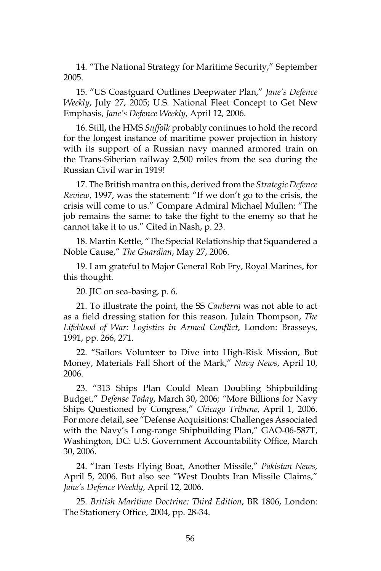14. "The National Strategy for Maritime Security," September 2005.

15. "US Coastguard Outlines Deepwater Plan," *Jane's Defence Weekly*, July 27, 2005; U.S. National Fleet Concept to Get New Emphasis, *Jane's Defence Weekly*, April 12, 2006.

16. Still, the HMS *Suffolk* probably continues to hold the record for the longest instance of maritime power projection in history with its support of a Russian navy manned armored train on the Trans-Siberian railway 2,500 miles from the sea during the Russian Civil war in 1919!

17. The British mantra on this, derived from the *Strategic Defence Review*, 1997, was the statement: "If we don't go to the crisis, the crisis will come to us." Compare Admiral Michael Mullen: "The job remains the same: to take the fight to the enemy so that he cannot take it to us." Cited in Nash, p. 23.

18. Martin Kettle, "The Special Relationship that Squandered a Noble Cause," *The Guardian*, May 27, 2006.

19. I am grateful to Major General Rob Fry, Royal Marines, for this thought.

20. JIC on sea-basing, p. 6.

21. To illustrate the point, the SS *Canberra* was not able to act as a field dressing station for this reason. Julain Thompson, *The Lifeblood of War: Logistics in Armed Conflict*, London: Brasseys, 1991, pp. 266, 271.

22. "Sailors Volunteer to Dive into High-Risk Mission, But Money, Materials Fall Short of the Mark," *Navy News*, April 10, 2006.

23. "313 Ships Plan Could Mean Doubling Shipbuilding Budget," *Defense Today*, March 30, 2006*; "*More Billions for Navy Ships Questioned by Congress," *Chicago Tribune*, April 1, 2006. For more detail, see "Defense Acquisitions: Challenges Associated with the Navy's Long-range Shipbuilding Plan," GAO-06-587T, Washington, DC: U.S. Government Accountability Office, March 30, 2006.

24. "Iran Tests Flying Boat, Another Missile," *Pakistan News,* April 5, 2006. But also see "West Doubts Iran Missile Claims," *Jane's Defence Weekly*, April 12, 2006.

25. *British Maritime Doctrine: Third Edition*, BR 1806, London: The Stationery Office, 2004, pp. 28-34.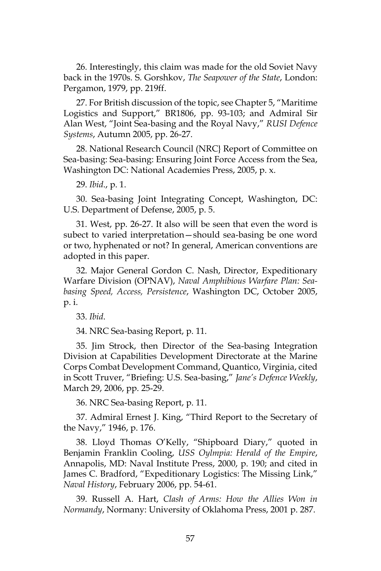26. Interestingly, this claim was made for the old Soviet Navy back in the 1970s. S. Gorshkov, *The Seapower of the State*, London: Pergamon, 1979, pp. 219ff.

27. For British discussion of the topic, see Chapter 5, "Maritime Logistics and Support," BR1806, pp. 93-103; and Admiral Sir Alan West, "Joint Sea-basing and the Royal Navy," *RUSI Defence Systems*, Autumn 2005, pp. 26-27.

28. National Research Council (NRC} Report of Committee on Sea-basing: Sea-basing: Ensuring Joint Force Access from the Sea, Washington DC: National Academies Press, 2005, p. x.

29. *Ibid*., p. 1.

30. Sea-basing Joint Integrating Concept, Washington, DC: U.S. Department of Defense, 2005, p. 5.

31. West, pp. 26-27. It also will be seen that even the word is subect to varied interpretation—should sea-basing be one word or two, hyphenated or not? In general, American conventions are adopted in this paper.

32. Major General Gordon C. Nash, Director, Expeditionary Warfare Division (OPNAV), *Naval Amphibious Warfare Plan: Seabasing Speed, Access, Persistence*, Washington DC, October 2005, p. i.

33. *Ibid*.

34. NRC Sea-basing Report, p. 11.

35. Jim Strock, then Director of the Sea-basing Integration Division at Capabilities Development Directorate at the Marine Corps Combat Development Command, Quantico, Virginia, cited in Scott Truver, "Briefing: U.S. Sea-basing," *Jane's Defence Weekly*, March 29, 2006, pp. 25-29.

36. NRC Sea-basing Report, p. 11.

37. Admiral Ernest J. King, "Third Report to the Secretary of the Navy," 1946, p. 176.

38. Lloyd Thomas O'Kelly, "Shipboard Diary," quoted in Benjamin Franklin Cooling, *USS Oylmpia: Herald of the Empire*, Annapolis, MD: Naval Institute Press, 2000, p. 190; and cited in James C. Bradford, "Expeditionary Logistics: The Missing Link," *Naval History*, February 2006, pp. 54-61.

39. Russell A. Hart, *Clash of Arms: How the Allies Won in Normandy*, Normany: University of Oklahoma Press, 2001 p. 287.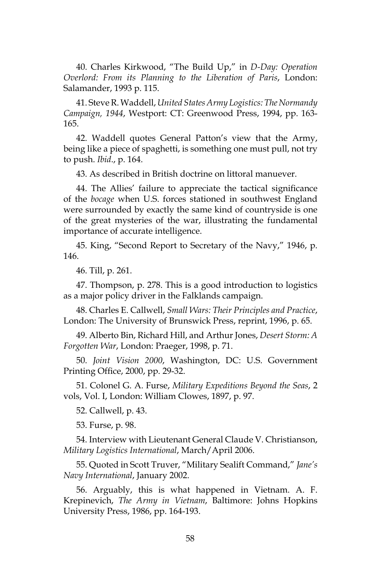40. Charles Kirkwood, "The Build Up," in *D-Day: Operation Overlord: From its Planning to the Liberation of Paris*, London: Salamander, 1993 p. 115.

41. Steve R. Waddell, *United States Army Logistics: The Normandy Campaign, 1944*, Westport: CT: Greenwood Press, 1994, pp. 163- 165.

42. Waddell quotes General Patton's view that the Army, being like a piece of spaghetti, is something one must pull, not try to push. *Ibid*., p. 164.

43. As described in British doctrine on littoral manuever.

44. The Allies' failure to appreciate the tactical significance of the *bocage* when U.S. forces stationed in southwest England were surrounded by exactly the same kind of countryside is one of the great mysteries of the war, illustrating the fundamental importance of accurate intelligence.

45. King, "Second Report to Secretary of the Navy," 1946, p. 146.

46. Till, p. 261.

47. Thompson, p. 278. This is a good introduction to logistics as a major policy driver in the Falklands campaign.

48. Charles E. Callwell, *Small Wars: Their Principles and Practice*, London: The University of Brunswick Press, reprint, 1996, p. 65.

49. Alberto Bin, Richard Hill, and Arthur Jones, *Desert Storm: A Forgotten War*, London: Praeger, 1998, p. 71.

50. *Joint Vision 2000*, Washington, DC: U.S. Government Printing Office, 2000, pp. 29-32.

51. Colonel G. A. Furse, *Military Expeditions Beyond the Seas*, 2 vols, Vol. I, London: William Clowes, 1897, p. 97.

52. Callwell, p. 43.

53. Furse, p. 98.

54. Interview with Lieutenant General Claude V. Christianson, *Military Logistics International*, March/April 2006.

55. Quoted in Scott Truver, "Military Sealift Command," *Jane's Navy International*, January 2002.

56. Arguably, this is what happened in Vietnam. A. F. Krepinevich, *The Army in Vietnam*, Baltimore: Johns Hopkins University Press, 1986, pp. 164-193.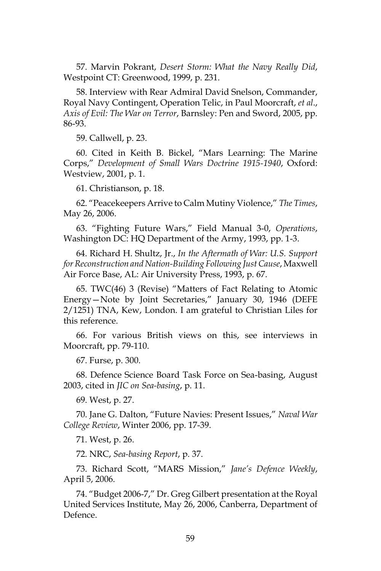57. Marvin Pokrant, *Desert Storm: What the Navy Really Did*, Westpoint CT: Greenwood, 1999, p. 231.

58. Interview with Rear Admiral David Snelson, Commander, Royal Navy Contingent, Operation Telic, in Paul Moorcraft, *et al*., *Axis of Evil: The War on Terror*, Barnsley: Pen and Sword, 2005, pp. 86-93.

59. Callwell, p. 23.

60. Cited in Keith B. Bickel, "Mars Learning: The Marine Corps," *Development of Small Wars Doctrine 1915-1940*, Oxford: Westview, 2001, p. 1.

61. Christianson, p. 18.

62. "Peacekeepers Arrive to Calm Mutiny Violence," *The Times*, May 26, 2006.

63. "Fighting Future Wars," Field Manual 3-0, *Operations*, Washington DC: HQ Department of the Army, 1993, pp. 1-3.

64. Richard H. Shultz, Jr., *In the Aftermath of War: U.S. Support for Reconstruction and Nation-Building Following Just Cause*, Maxwell Air Force Base, AL: Air University Press, 1993, p. 67.

65. TWC(46) 3 (Revise) "Matters of Fact Relating to Atomic Energy—Note by Joint Secretaries," January 30, 1946 (DEFE 2/1251) TNA, Kew, London. I am grateful to Christian Liles for this reference.

66. For various British views on this, see interviews in Moorcraft, pp. 79-110.

67. Furse, p. 300.

68. Defence Science Board Task Force on Sea-basing, August 2003, cited in *JIC on Sea-basing*, p. 11.

69. West, p. 27.

70. Jane G. Dalton, "Future Navies: Present Issues," *Naval War College Review*, Winter 2006, pp. 17-39.

71. West, p. 26.

72. NRC, *Sea-basing Report*, p. 37.

73. Richard Scott, "MARS Mission," *Jane's Defence Weekly*, April 5, 2006.

74. "Budget 2006-7," Dr. Greg Gilbert presentation at the Royal United Services Institute, May 26, 2006, Canberra, Department of Defence.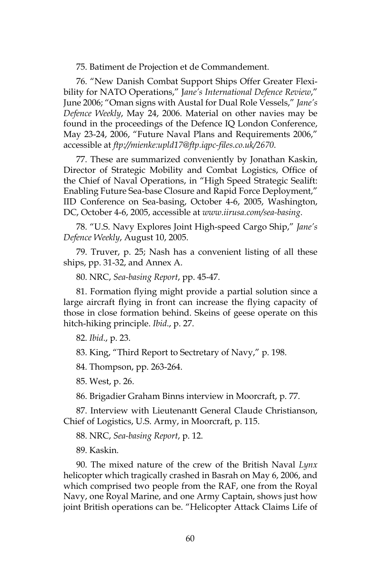75. Batiment de Projection et de Commandement.

76. "New Danish Combat Support Ships Offer Greater Flexibility for NATO Operations," J*ane's International Defence Review*," June 2006; "Oman signs with Austal for Dual Role Vessels," *Jane's Defence Weekly*, May 24, 2006. Material on other navies may be found in the proceedings of the Defence IQ London Conference, May 23-24, 2006, "Future Naval Plans and Requirements 2006," accessible at *ftp://mienke:upld17@ftp.iqpc-files.co.uk/2670*.

77. These are summarized conveniently by Jonathan Kaskin, Director of Strategic Mobility and Combat Logistics, Office of the Chief of Naval Operations, in "High Speed Strategic Sealift: Enabling Future Sea-base Closure and Rapid Force Deployment," IID Conference on Sea-basing, October 4-6, 2005, Washington, DC, October 4-6, 2005, accessible at *www.iirusa.com/sea-basing*.

78. "U.S. Navy Explores Joint High-speed Cargo Ship," *Jane's Defence Weekly*, August 10, 2005.

79. Truver, p. 25; Nash has a convenient listing of all these ships, pp. 31-32, and Annex A.

80. NRC, *Sea-basing Report*, pp. 45-47.

81. Formation flying might provide a partial solution since a large aircraft flying in front can increase the flying capacity of those in close formation behind. Skeins of geese operate on this hitch-hiking principle. *Ibid*., p. 27.

82. *Ibid*., p. 23.

83. King, "Third Report to Sectretary of Navy," p. 198.

84. Thompson, pp. 263-264.

85. West, p. 26.

86. Brigadier Graham Binns interview in Moorcraft, p. 77.

87. Interview with Lieutenantt General Claude Christianson, Chief of Logistics, U.S. Army, in Moorcraft, p. 115.

88. NRC, *Sea-basing Report*, p. 12.

89. Kaskin.

90. The mixed nature of the crew of the British Naval *Lynx* helicopter which tragically crashed in Basrah on May 6, 2006, and which comprised two people from the RAF, one from the Royal Navy, one Royal Marine, and one Army Captain, shows just how joint British operations can be. "Helicopter Attack Claims Life of